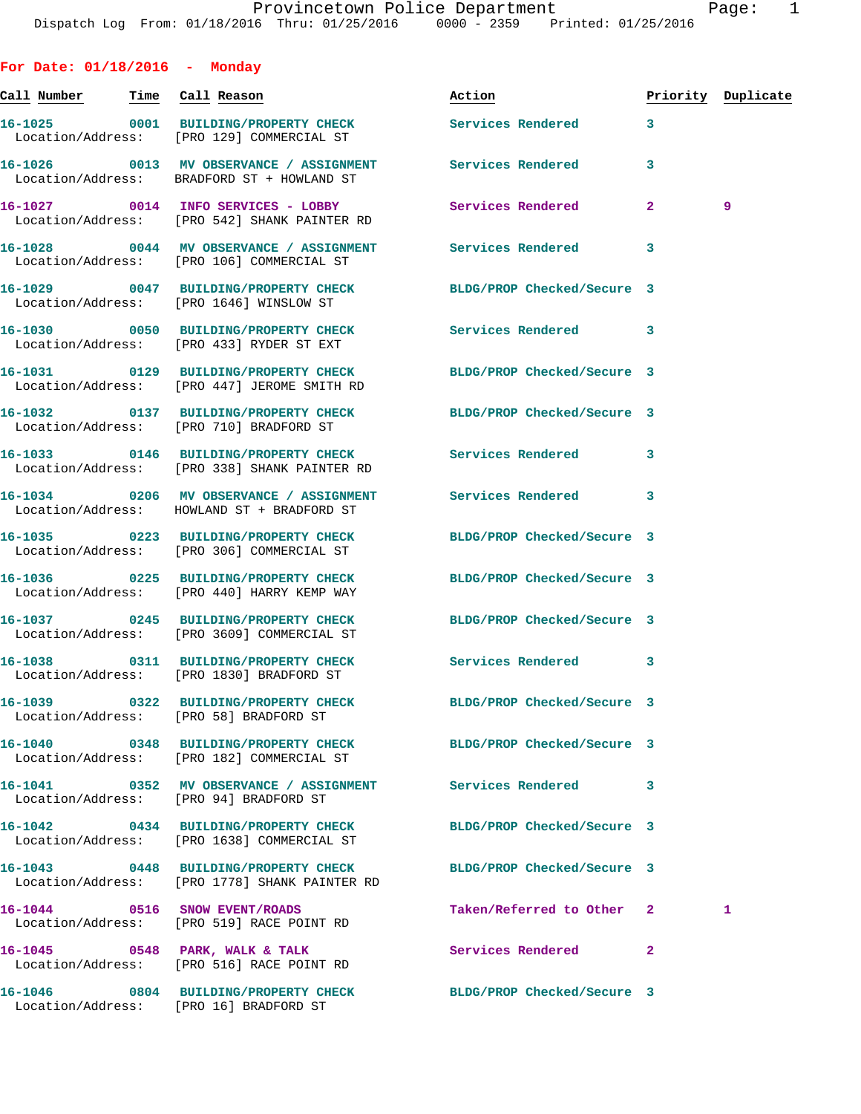**For Date: 01/18/2016 - Monday Call Number Time Call Reason Action Priority Duplicate 16-1025 0001 BUILDING/PROPERTY CHECK Services Rendered 3**  Location/Address: [PRO 129] COMMERCIAL ST **16-1026 0013 MV OBSERVANCE / ASSIGNMENT Services Rendered 3**  Location/Address: BRADFORD ST + HOWLAND ST **16-1027 0014 INFO SERVICES - LOBBY Services Rendered 2 9**  Location/Address: [PRO 542] SHANK PAINTER RD **16-1028 0044 MV OBSERVANCE / ASSIGNMENT Services Rendered 3**  Location/Address: [PRO 106] COMMERCIAL ST **16-1029 0047 BUILDING/PROPERTY CHECK BLDG/PROP Checked/Secure 3**  Location/Address: [PRO 1646] WINSLOW ST **16-1030 0050 BUILDING/PROPERTY CHECK Services Rendered 3**  Location/Address: [PRO 433] RYDER ST EXT **16-1031 0129 BUILDING/PROPERTY CHECK BLDG/PROP Checked/Secure 3**  Location/Address: [PRO 447] JEROME SMITH RD **16-1032 0137 BUILDING/PROPERTY CHECK BLDG/PROP Checked/Secure 3**  Location/Address: [PRO 710] BRADFORD ST **16-1033 0146 BUILDING/PROPERTY CHECK Services Rendered 3**  Location/Address: [PRO 338] SHANK PAINTER RD **16-1034 0206 MV OBSERVANCE / ASSIGNMENT Services Rendered 3**  Location/Address: HOWLAND ST + BRADFORD ST **16-1035 0223 BUILDING/PROPERTY CHECK BLDG/PROP Checked/Secure 3**  Location/Address: [PRO 306] COMMERCIAL ST **16-1036 0225 BUILDING/PROPERTY CHECK BLDG/PROP Checked/Secure 3**  Location/Address: [PRO 440] HARRY KEMP WAY **16-1037 0245 BUILDING/PROPERTY CHECK BLDG/PROP Checked/Secure 3**  Location/Address: [PRO 3609] COMMERCIAL ST **16-1038 0311 BUILDING/PROPERTY CHECK Services Rendered 3**  Location/Address: [PRO 1830] BRADFORD ST **16-1039 0322 BUILDING/PROPERTY CHECK BLDG/PROP Checked/Secure 3**  Location/Address: [PRO 58] BRADFORD ST **16-1040 0348 BUILDING/PROPERTY CHECK BLDG/PROP Checked/Secure 3**  Location/Address: [PRO 182] COMMERCIAL ST **16-1041 0352 MV OBSERVANCE / ASSIGNMENT Services Rendered 3**  Location/Address: [PRO 94] BRADFORD ST **16-1042 0434 BUILDING/PROPERTY CHECK BLDG/PROP Checked/Secure 3**  Location/Address: [PRO 1638] COMMERCIAL ST **16-1043 0448 BUILDING/PROPERTY CHECK BLDG/PROP Checked/Secure 3**  Location/Address: [PRO 1778] SHANK PAINTER RD **16-1044 0516 SNOW EVENT/ROADS Taken/Referred to Other 2 1**  Location/Address: [PRO 519] RACE POINT RD **16-1045 0548 PARK, WALK & TALK Services Rendered 2**  Location/Address: [PRO 516] RACE POINT RD

Location/Address: [PRO 16] BRADFORD ST

**16-1046 0804 BUILDING/PROPERTY CHECK BLDG/PROP Checked/Secure 3**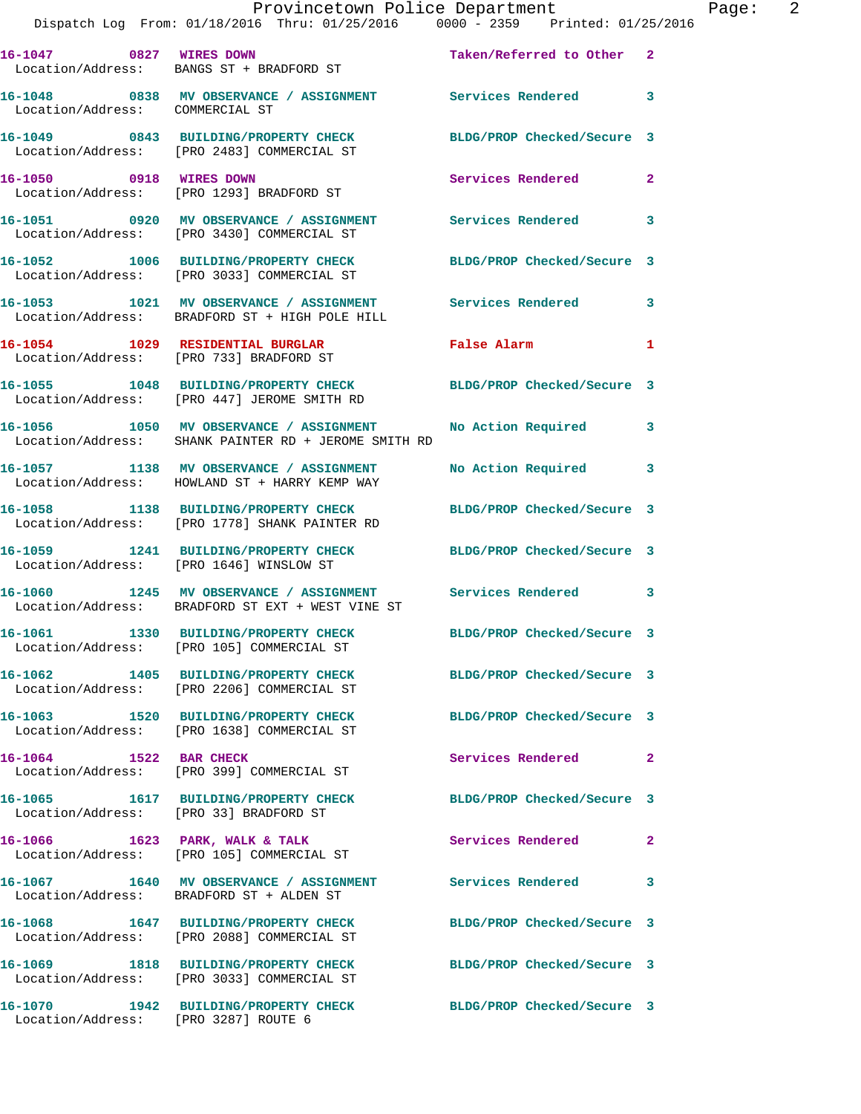|                                      | Provincetown Police Department The Page: 2<br>Dispatch Log From: 01/18/2016 Thru: 01/25/2016 0000 - 2359 Printed: 01/25/2016 |                            |              |
|--------------------------------------|------------------------------------------------------------------------------------------------------------------------------|----------------------------|--------------|
|                                      | 16-1047 0827 WIRES DOWN<br>Location/Address: BANGS ST + BRADFORD ST                                                          | Taken/Referred to Other 2  |              |
| Location/Address: COMMERCIAL ST      | 16-1048 0838 MV OBSERVANCE / ASSIGNMENT Services Rendered 3                                                                  |                            |              |
|                                      | 16-1049 0843 BUILDING/PROPERTY CHECK BLDG/PROP Checked/Secure 3<br>Location/Address: [PRO 2483] COMMERCIAL ST                |                            |              |
|                                      | 16-1050 0918 WIRES DOWN<br>Location/Address: [PRO 1293] BRADFORD ST                                                          | Services Rendered          | $\mathbf{2}$ |
|                                      | 16-1051 6920 MV OBSERVANCE / ASSIGNMENT Services Rendered<br>Location/Address: [PRO 3430] COMMERCIAL ST                      |                            | 3            |
|                                      | 16-1052 1006 BUILDING/PROPERTY CHECK BLDG/PROP Checked/Secure 3<br>Location/Address: [PRO 3033] COMMERCIAL ST                |                            |              |
|                                      | 16-1053 1021 MV OBSERVANCE / ASSIGNMENT Services Rendered 3<br>Location/Address: BRADFORD ST + HIGH POLE HILL                |                            |              |
|                                      | 16-1054 1029 RESIDENTIAL BURGLAR 1999 Palse Alarm<br>Location/Address: [PRO 733] BRADFORD ST                                 |                            | 1            |
|                                      | 16-1055 1048 BUILDING/PROPERTY CHECK BLDG/PROP Checked/Secure 3<br>Location/Address: [PRO 447] JEROME SMITH RD               |                            |              |
|                                      | 16-1056 1050 MV OBSERVANCE / ASSIGNMENT No Action Required 3<br>Location/Address: SHANK PAINTER RD + JEROME SMITH RD         |                            |              |
|                                      | 16-1057 1138 MV OBSERVANCE / ASSIGNMENT<br>Location/Address: HOWLAND ST + HARRY KEMP WAY                                     | No Action Required 3       |              |
|                                      | 16-1058 1138 BUILDING/PROPERTY CHECK BLDG/PROP Checked/Secure 3<br>Location/Address: [PRO 1778] SHANK PAINTER RD             |                            |              |
|                                      | 16-1059 1241 BUILDING/PROPERTY CHECK BLDG/PROP Checked/Secure 3<br>Location/Address: [PRO 1646] WINSLOW ST                   |                            |              |
|                                      | 16-1060 1245 MV OBSERVANCE / ASSIGNMENT Services Rendered 3<br>Location/Address: BRADFORD ST EXT + WEST VINE ST              |                            |              |
|                                      | 16-1061 1330 BUILDING/PROPERTY CHECK<br>Location/Address: [PRO 105] COMMERCIAL ST                                            | BLDG/PROP Checked/Secure 3 |              |
|                                      | 16-1062 1405 BUILDING/PROPERTY CHECK BLDG/PROP Checked/Secure 3<br>Location/Address: [PRO 2206] COMMERCIAL ST                |                            |              |
|                                      | 16-1063 1520 BUILDING/PROPERTY CHECK<br>Location/Address: [PRO 1638] COMMERCIAL ST                                           | BLDG/PROP Checked/Secure 3 |              |
|                                      | 16-1064 1522 BAR CHECK<br>Location/Address: [PRO 399] COMMERCIAL ST                                                          | Services Rendered          | $\mathbf{2}$ |
|                                      | 16-1065 1617 BUILDING/PROPERTY CHECK<br>Location/Address: [PRO 33] BRADFORD ST                                               | BLDG/PROP Checked/Secure 3 |              |
|                                      | 16-1066 1623 PARK, WALK & TALK<br>Location/Address: [PRO 105] COMMERCIAL ST                                                  | Services Rendered          | 2            |
|                                      | 16-1067 1640 MV OBSERVANCE / ASSIGNMENT Services Rendered<br>Location/Address: BRADFORD ST + ALDEN ST                        |                            | 3            |
|                                      | 16-1068 1647 BUILDING/PROPERTY CHECK<br>Location/Address: [PRO 2088] COMMERCIAL ST                                           | BLDG/PROP Checked/Secure 3 |              |
|                                      | 16-1069 1818 BUILDING/PROPERTY CHECK BLDG/PROP Checked/Secure 3<br>Location/Address: [PRO 3033] COMMERCIAL ST                |                            |              |
| Location/Address: [PRO 3287] ROUTE 6 | 16-1070 1942 BUILDING/PROPERTY CHECK BLDG/PROP Checked/Secure 3                                                              |                            |              |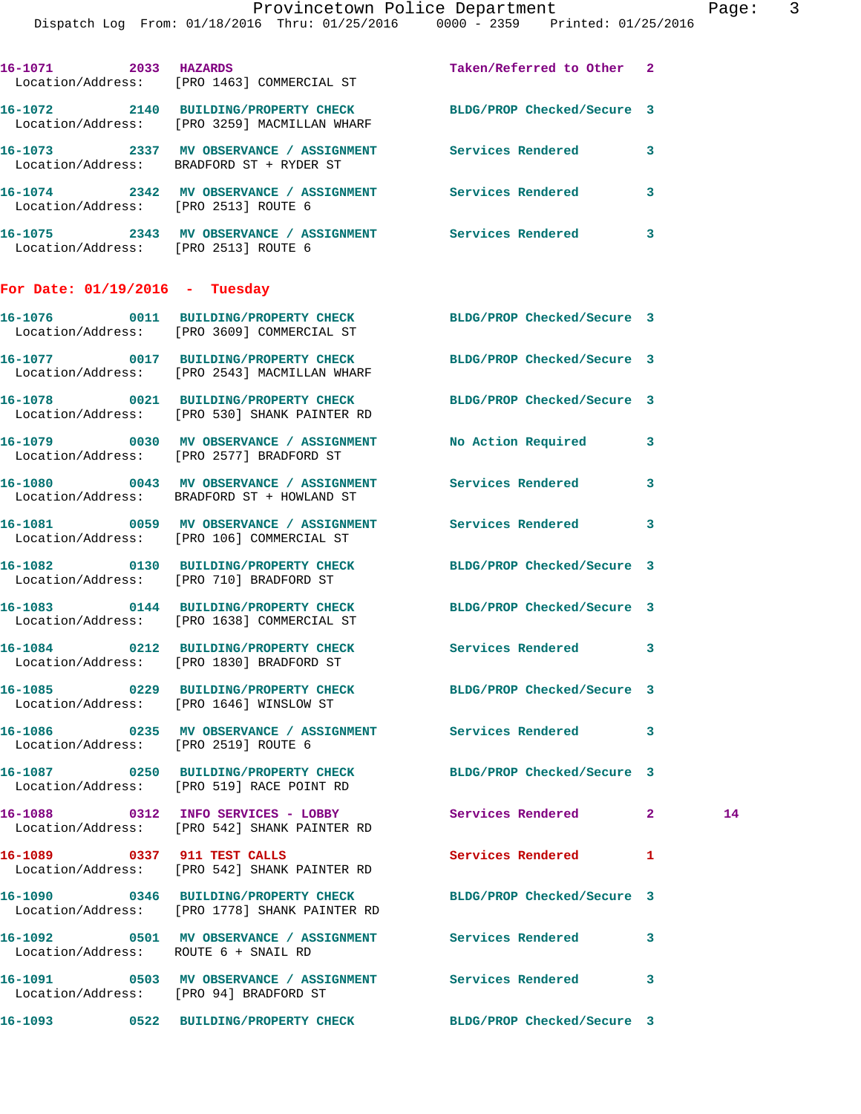|                                      | Dispatch Log From: 01/18/2016 Thru: 01/25/2016 0000 - 2359 Printed: 01/25/2016                                  | Provincetown Police Department |                         | Page: 3 |  |
|--------------------------------------|-----------------------------------------------------------------------------------------------------------------|--------------------------------|-------------------------|---------|--|
|                                      | 16-1071 2033 HAZARDS<br>Location/Address: [PRO 1463] COMMERCIAL ST                                              | Taken/Referred to Other 2      |                         |         |  |
|                                      | 16-1072 2140 BUILDING/PROPERTY CHECK BLDG/PROP Checked/Secure 3<br>Location/Address: [PRO 3259] MACMILLAN WHARF |                                |                         |         |  |
|                                      | 16-1073 2337 MV OBSERVANCE / ASSIGNMENT Services Rendered 3<br>Location/Address: BRADFORD ST + RYDER ST         |                                |                         |         |  |
| Location/Address: [PRO 2513] ROUTE 6 | 16-1074 2342 MV OBSERVANCE / ASSIGNMENT Services Rendered                                                       |                                | $\overline{\mathbf{3}}$ |         |  |
| Location/Address: [PRO 2513] ROUTE 6 | 16-1075 2343 MV OBSERVANCE / ASSIGNMENT Services Rendered 3                                                     |                                |                         |         |  |
| For Date: $01/19/2016$ - Tuesday     |                                                                                                                 |                                |                         |         |  |
|                                      | 16-1076 0011 BUILDING/PROPERTY CHECK BLDG/PROP Checked/Secure 3<br>Location/Address: [PRO 3609] COMMERCIAL ST   |                                |                         |         |  |
|                                      | 16-1077 0017 BUILDING/PROPERTY CHECK BLDG/PROP Checked/Secure 3<br>Location/Address: [PRO 2543] MACMILLAN WHARF |                                |                         |         |  |
|                                      | 16-1078 0021 BUILDING/PROPERTY CHECK BLDG/PROP Checked/Secure 3<br>Location/Address: [PRO 530] SHANK PAINTER RD |                                |                         |         |  |
|                                      | 16-1079 0030 MV OBSERVANCE / ASSIGNMENT No Action Required 3<br>Location/Address: [PRO 2577] BRADFORD ST        |                                |                         |         |  |
|                                      | 16-1080 0043 MV OBSERVANCE / ASSIGNMENT Services Rendered 3<br>Location/Address: BRADFORD ST + HOWLAND ST       |                                |                         |         |  |
|                                      | 16-1081 0059 MV OBSERVANCE / ASSIGNMENT Services Rendered 3<br>Location/Address: [PRO 106] COMMERCIAL ST        |                                |                         |         |  |
|                                      | 16-1082 0130 BUILDING/PROPERTY CHECK BLDG/PROP Checked/Secure 3<br>Location/Address: [PRO 710] BRADFORD ST      |                                |                         |         |  |
|                                      | 16-1083 0144 BUILDING/PROPERTY CHECK BLDG/PROP Checked/Secure 3<br>Location/Address: [PRO 1638] COMMERCIAL ST   |                                |                         |         |  |
|                                      | 16-1084 0212 BUILDING/PROPERTY CHECK<br>Location/Address: [PRO 1830] BRADFORD ST                                | Services Rendered              | 3                       |         |  |
|                                      | 16-1085 0229 BUILDING/PROPERTY CHECK<br>Location/Address: [PRO 1646] WINSLOW ST                                 | BLDG/PROP Checked/Secure 3     |                         |         |  |
| Location/Address: [PRO 2519] ROUTE 6 | 16-1086 0235 MV OBSERVANCE / ASSIGNMENT                                                                         | Services Rendered              | 3                       |         |  |
|                                      | 16-1087 0250 BUILDING/PROPERTY CHECK<br>Location/Address: [PRO 519] RACE POINT RD                               | BLDG/PROP Checked/Secure 3     |                         |         |  |
| 16-1088                              | 0312 INFO SERVICES - LOBBY<br>Location/Address: [PRO 542] SHANK PAINTER RD                                      | Services Rendered 2            |                         | 14      |  |

Location/Address: [PRO 542] SHANK PAINTER RD

**16-1089 0337 911 TEST CALLS Services Rendered 1** 

**16-1090 0346 BUILDING/PROPERTY CHECK BLDG/PROP Checked/Secure 3**  Location/Address: [PRO 1778] SHANK PAINTER RD

**16-1092 0501 MV OBSERVANCE / ASSIGNMENT Services Rendered 3**  Location/Address: ROUTE 6 + SNAIL RD

**16-1091 0503 MV OBSERVANCE / ASSIGNMENT Services Rendered 3**  Location/Address: [PRO 94] BRADFORD ST

**16-1093 0522 BUILDING/PROPERTY CHECK BLDG/PROP Checked/Secure 3**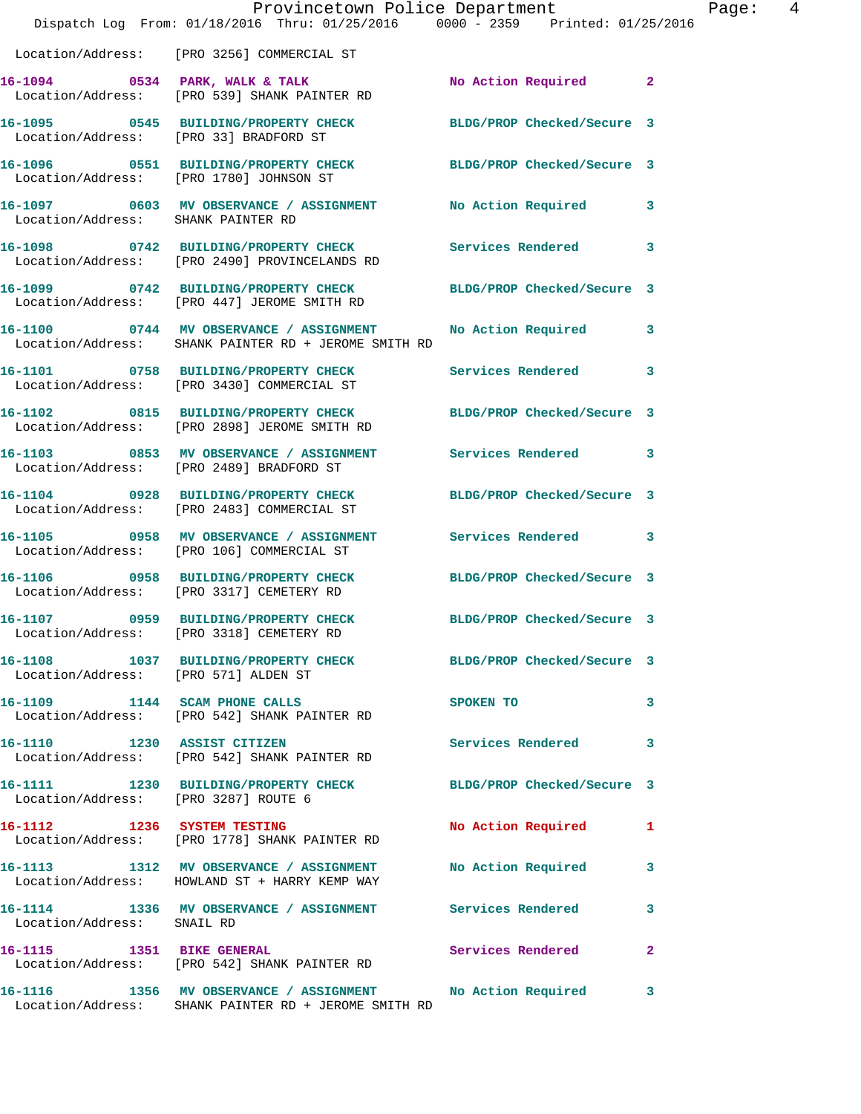|                                      | Dispatch Log From: 01/18/2016 Thru: 01/25/2016 0000 - 2359 Printed: 01/25/2016                                     | Provincetown Police Department |              | Page: 4 |  |
|--------------------------------------|--------------------------------------------------------------------------------------------------------------------|--------------------------------|--------------|---------|--|
|                                      | Location/Address: [PRO 3256] COMMERCIAL ST                                                                         |                                |              |         |  |
|                                      | 16-1094 0534 PARK, WALK & TALK<br>Location/Address: [PRO 539] SHANK PAINTER RD                                     | No Action Required 2           |              |         |  |
|                                      | 16-1095 0545 BUILDING/PROPERTY CHECK BLDG/PROP Checked/Secure 3<br>Location/Address: [PRO 33] BRADFORD ST          |                                |              |         |  |
|                                      | 16-1096 0551 BUILDING/PROPERTY CHECK BLDG/PROP Checked/Secure 3<br>Location/Address: [PRO 1780] JOHNSON ST         |                                |              |         |  |
| Location/Address: SHANK PAINTER RD   | 16-1097 0603 MV OBSERVANCE / ASSIGNMENT No Action Required 3                                                       |                                |              |         |  |
|                                      | 16-1098 0742 BUILDING/PROPERTY CHECK Services Rendered 3<br>Location/Address: [PRO 2490] PROVINCELANDS RD          |                                |              |         |  |
|                                      | 16-1099 0742 BUILDING/PROPERTY CHECK<br>Location/Address: [PRO 447] JEROME SMITH RD                                | BLDG/PROP Checked/Secure 3     |              |         |  |
|                                      | 16-1100 0744 MV OBSERVANCE / ASSIGNMENT<br>Location/Address: SHANK PAINTER RD + JEROME SMITH RD                    | No Action Required 3           |              |         |  |
|                                      | 16-1101 0758 BUILDING/PROPERTY CHECK<br>Location/Address: [PRO 3430] COMMERCIAL ST                                 | Services Rendered 3            |              |         |  |
|                                      | 16-1102 0815 BUILDING/PROPERTY CHECK<br>Location/Address: [PRO 2898] JEROME SMITH RD                               | BLDG/PROP Checked/Secure 3     |              |         |  |
|                                      | 16-1103 0853 MV OBSERVANCE / ASSIGNMENT Services Rendered 3<br>Location/Address: [PRO 2489] BRADFORD ST            |                                |              |         |  |
|                                      | 16-1104 0928 BUILDING/PROPERTY CHECK<br>Location/Address: [PRO 2483] COMMERCIAL ST                                 | BLDG/PROP Checked/Secure 3     |              |         |  |
|                                      | 16-1105 0958 MV OBSERVANCE / ASSIGNMENT Services Rendered 3<br>Location/Address: [PRO 106] COMMERCIAL ST           |                                |              |         |  |
|                                      | 16-1106 0958 BUILDING/PROPERTY CHECK<br>Location/Address: [PRO 3317] CEMETERY RD                                   | BLDG/PROP Checked/Secure 3     |              |         |  |
|                                      | 16-1107 0959 BUILDING/PROPERTY CHECK BLDG/PROP Checked/Secure 3<br>Location/Address: [PRO 3318] CEMETERY RD        |                                |              |         |  |
| Location/Address: [PRO 571] ALDEN ST | 16-1108 1037 BUILDING/PROPERTY CHECK BLDG/PROP Checked/Secure 3                                                    |                                |              |         |  |
|                                      | 16-1109 1144 SCAM PHONE CALLS<br>Location/Address: [PRO 542] SHANK PAINTER RD                                      | SPOKEN TO                      | 3            |         |  |
|                                      | 16-1110 1230 ASSIST CITIZEN<br>Location/Address: [PRO 542] SHANK PAINTER RD                                        | Services Rendered              | 3            |         |  |
| Location/Address: [PRO 3287] ROUTE 6 | 16-1111 1230 BUILDING/PROPERTY CHECK BLDG/PROP Checked/Secure 3                                                    |                                |              |         |  |
|                                      | 16-1112 1236 SYSTEM TESTING<br>Location/Address: [PRO 1778] SHANK PAINTER RD                                       | No Action Required 1           |              |         |  |
|                                      | 16-1113 1312 MV OBSERVANCE / ASSIGNMENT<br>Location/Address: HOWLAND ST + HARRY KEMP WAY                           | No Action Required 3           |              |         |  |
| Location/Address: SNAIL RD           | 16-1114 1336 MV OBSERVANCE / ASSIGNMENT Services Rendered                                                          |                                | 3            |         |  |
|                                      | 16-1115 1351 BIKE GENERAL<br>Location/Address: [PRO 542] SHANK PAINTER RD                                          | Services Rendered              | $\mathbf{2}$ |         |  |
|                                      | 16-1116 1356 MV OBSERVANCE / ASSIGNMENT No Action Required<br>Location/Address: SHANK PAINTER RD + JEROME SMITH RD |                                | $\mathbf{3}$ |         |  |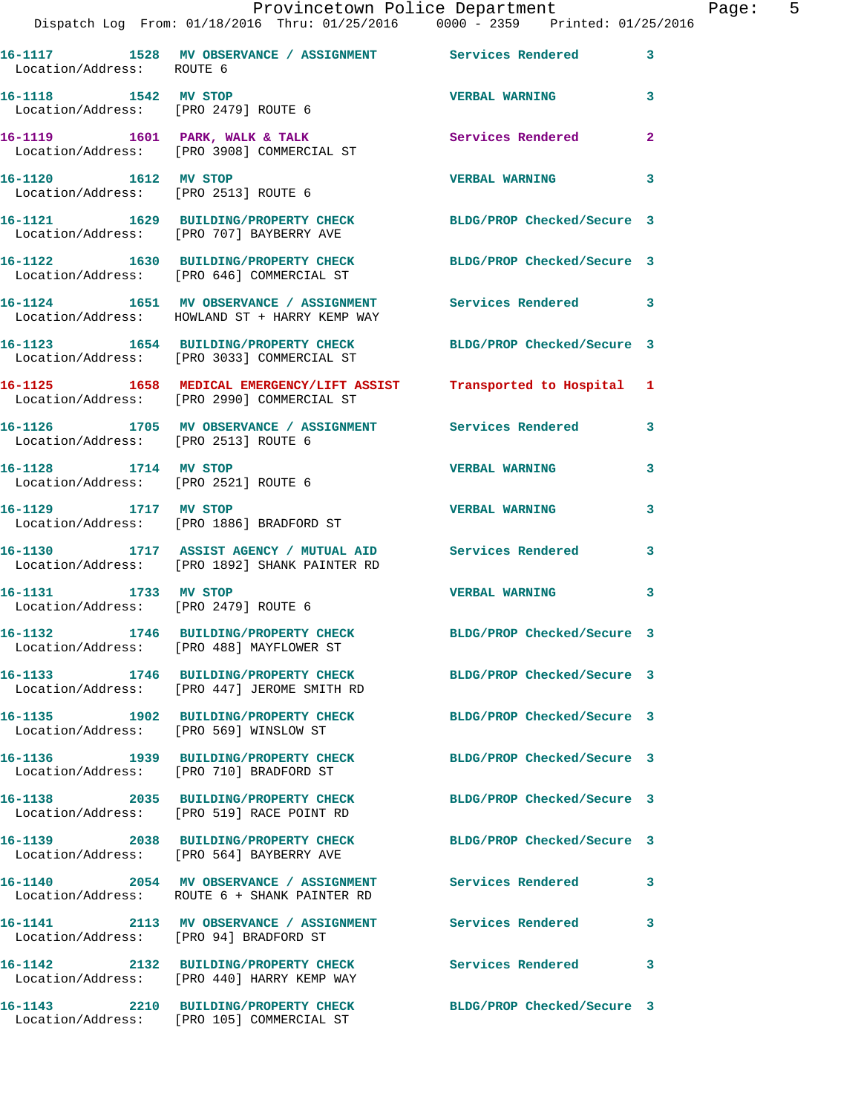|                                      | Provincetown Police Department<br>Dispatch Log From: 01/18/2016 Thru: 01/25/2016 0000 - 2359 Printed: 01/25/2016   |                            | Page: 5      |
|--------------------------------------|--------------------------------------------------------------------------------------------------------------------|----------------------------|--------------|
|                                      |                                                                                                                    |                            |              |
| Location/Address: ROUTE 6            | 16-1117 1528 MV OBSERVANCE / ASSIGNMENT Services Rendered 3                                                        |                            |              |
|                                      | 16-1118 1542 MV STOP<br>Location/Address: [PRO 2479] ROUTE 6                                                       | VERBAL WARNING 3           |              |
|                                      | 16-1119 1601 PARK, WALK & TALK (Services Rendered 2)<br>Location/Address: [PRO 3908] COMMERCIAL ST                 |                            |              |
|                                      | 16-1120 1612 MV STOP<br>Location/Address: [PRO 2513] ROUTE 6                                                       | <b>VERBAL WARNING</b>      | 3            |
|                                      | 16-1121 1629 BUILDING/PROPERTY CHECK BLDG/PROP Checked/Secure 3<br>Location/Address: [PRO 707] BAYBERRY AVE        |                            |              |
|                                      | 16-1122 1630 BUILDING/PROPERTY CHECK BLDG/PROP Checked/Secure 3<br>Location/Address: [PRO 646] COMMERCIAL ST       |                            |              |
|                                      | 16-1124 1651 MV OBSERVANCE / ASSIGNMENT Services Rendered 3<br>Location/Address: HOWLAND ST + HARRY KEMP WAY       |                            |              |
|                                      | 16-1123 1654 BUILDING/PROPERTY CHECK BLDG/PROP Checked/Secure 3<br>Location/Address: [PRO 3033] COMMERCIAL ST      |                            |              |
|                                      | 16-1125 1658 MEDICAL EMERGENCY/LIFT ASSIST Transported to Hospital 1<br>Location/Address: [PRO 2990] COMMERCIAL ST |                            |              |
| Location/Address: [PRO 2513] ROUTE 6 | 16-1126 1705 MV OBSERVANCE / ASSIGNMENT Services Rendered 3                                                        |                            |              |
| 16-1128 1714 MV STOP                 | Location/Address: [PRO 2521] ROUTE 6                                                                               | <b>VERBAL WARNING</b>      | $\mathbf{3}$ |
|                                      | 16-1129 1717 MV STOP<br>Location/Address: [PRO 1886] BRADFORD ST                                                   | <b>VERBAL WARNING</b>      | 3            |
|                                      | 16-1130 1717 ASSIST AGENCY / MUTUAL AID Services Rendered 3<br>Location/Address: [PRO 1892] SHANK PAINTER RD       |                            |              |
| Location/Address: [PRO 2479] ROUTE 6 | 16-1131 1733 MV STOP                                                                                               | <b>VERBAL WARNING 3</b>    |              |
|                                      | 16-1132 1746 BUILDING/PROPERTY CHECK BLDG/PROP Checked/Secure 3<br>Location/Address: [PRO 488] MAYFLOWER ST        |                            |              |
|                                      | 16-1133 1746 BUILDING/PROPERTY CHECK BLDG/PROP Checked/Secure 3<br>Location/Address: [PRO 447] JEROME SMITH RD     |                            |              |
|                                      | 16-1135 1902 BUILDING/PROPERTY CHECK<br>Location/Address: [PRO 569] WINSLOW ST                                     | BLDG/PROP Checked/Secure 3 |              |
|                                      | 16-1136 1939 BUILDING/PROPERTY CHECK<br>Location/Address: [PRO 710] BRADFORD ST                                    | BLDG/PROP Checked/Secure 3 |              |
|                                      | 16-1138 2035 BUILDING/PROPERTY CHECK<br>Location/Address: [PRO 519] RACE POINT RD                                  | BLDG/PROP Checked/Secure 3 |              |
|                                      | 16-1139 2038 BUILDING/PROPERTY CHECK<br>Location/Address: [PRO 564] BAYBERRY AVE                                   | BLDG/PROP Checked/Secure 3 |              |
|                                      | 16-1140 2054 MV OBSERVANCE / ASSIGNMENT Services Rendered 3<br>Location/Address: ROUTE 6 + SHANK PAINTER RD        |                            |              |
|                                      | 16-1141 2113 MV OBSERVANCE / ASSIGNMENT Services Rendered<br>Location/Address: [PRO 94] BRADFORD ST                |                            | 3            |
|                                      | 16-1142 2132 BUILDING/PROPERTY CHECK Services Rendered 3<br>Location/Address: [PRO 440] HARRY KEMP WAY             |                            |              |
|                                      | 16-1143 2210 BUILDING/PROPERTY CHECK<br>Location/Address: [PRO 105] COMMERCIAL ST                                  | BLDG/PROP Checked/Secure 3 |              |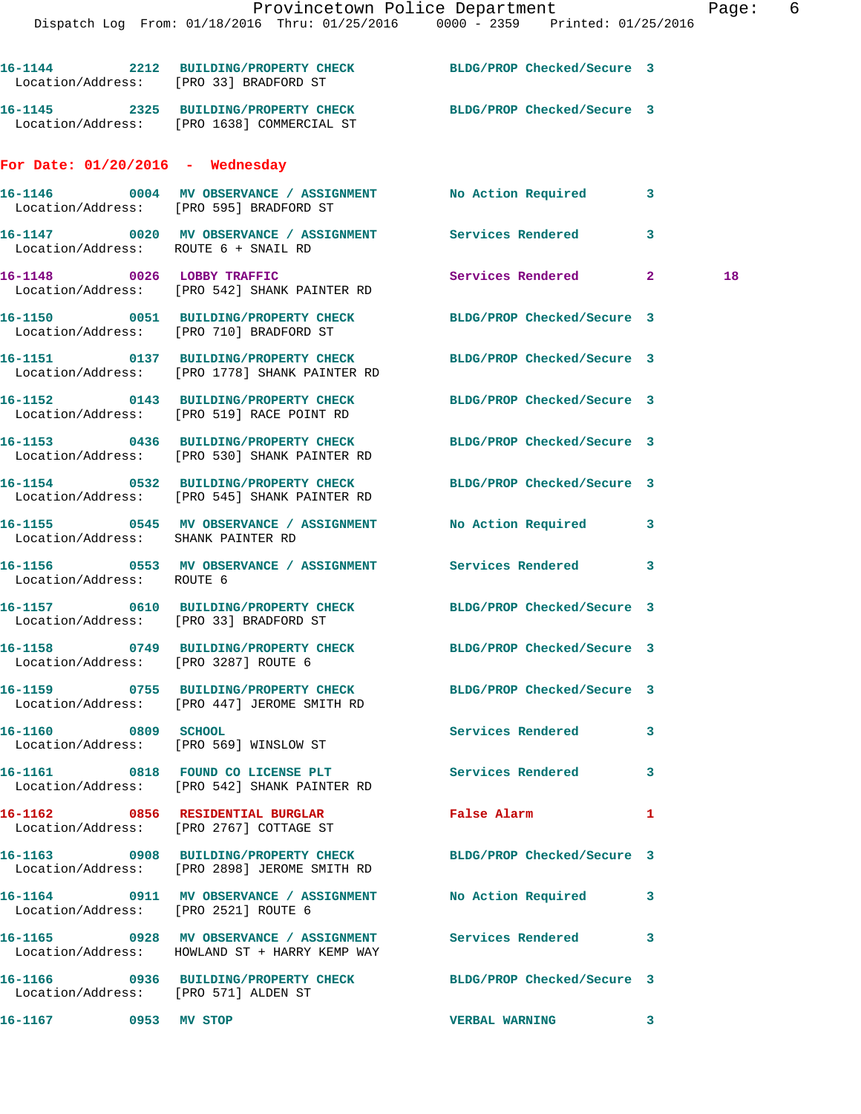Dispatch Log From: 01/18/2016 Thru: 01/25/2016 0000 - 2359 Printed: 01/25/2016

**16-1144 2212 BUILDING/PROPERTY CHECK BLDG/PROP Checked/Secure 3**  Location/Address: [PRO 33] BRADFORD ST **16-1145 2325 BUILDING/PROPERTY CHECK BLDG/PROP Checked/Secure 3**  Location/Address: [PRO 1638] COMMERCIAL ST **For Date: 01/20/2016 - Wednesday 16-1146 0004 MV OBSERVANCE / ASSIGNMENT No Action Required 3**  Location/Address: [PRO 595] BRADFORD ST **16-1147 0020 MV OBSERVANCE / ASSIGNMENT Services Rendered 3**  Location/Address: ROUTE 6 + SNAIL RD **16-1148 0026 LOBBY TRAFFIC Services Rendered 2 18**  Location/Address: [PRO 542] SHANK PAINTER RD **16-1150 0051 BUILDING/PROPERTY CHECK BLDG/PROP Checked/Secure 3**  Location/Address: [PRO 710] BRADFORD ST **16-1151 0137 BUILDING/PROPERTY CHECK BLDG/PROP Checked/Secure 3**  Location/Address: [PRO 1778] SHANK PAINTER RD **16-1152 0143 BUILDING/PROPERTY CHECK BLDG/PROP Checked/Secure 3**  Location/Address: [PRO 519] RACE POINT RD **16-1153 0436 BUILDING/PROPERTY CHECK BLDG/PROP Checked/Secure 3**  Location/Address: [PRO 530] SHANK PAINTER RD **16-1154 0532 BUILDING/PROPERTY CHECK BLDG/PROP Checked/Secure 3**  Location/Address: [PRO 545] SHANK PAINTER RD **16-1155 0545 MV OBSERVANCE / ASSIGNMENT No Action Required 3**  Location/Address: SHANK PAINTER RD **16-1156 0553 MV OBSERVANCE / ASSIGNMENT Services Rendered 3**  Location/Address: ROUTE 6 **16-1157 0610 BUILDING/PROPERTY CHECK BLDG/PROP Checked/Secure 3**  Location/Address: [PRO 33] BRADFORD ST **16-1158 0749 BUILDING/PROPERTY CHECK BLDG/PROP Checked/Secure 3**  Location/Address: [PRO 3287] ROUTE 6 **16-1159 0755 BUILDING/PROPERTY CHECK BLDG/PROP Checked/Secure 3**  Location/Address: [PRO 447] JEROME SMITH RD **16-1160 0809 SCHOOL Services Rendered 3**  Location/Address: [PRO 569] WINSLOW ST 16-1161 0818 FOUND CO LICENSE PLT **Services Rendered** 3 Location/Address: [PRO 542] SHANK PAINTER RD **16-1162 0856 RESIDENTIAL BURGLAR False Alarm 1**  Location/Address: [PRO 2767] COTTAGE ST **16-1163 0908 BUILDING/PROPERTY CHECK BLDG/PROP Checked/Secure 3**  Location/Address: [PRO 2898] JEROME SMITH RD **16-1164 0911 MV OBSERVANCE / ASSIGNMENT No Action Required 3**  Location/Address: [PRO 2521] ROUTE 6 **16-1165 0928 MV OBSERVANCE / ASSIGNMENT Services Rendered 3**  Location/Address: HOWLAND ST + HARRY KEMP WAY **16-1166 0936 BUILDING/PROPERTY CHECK BLDG/PROP Checked/Secure 3**  Location/Address: [PRO 571] ALDEN ST

**16-1167 0953 MV STOP VERBAL WARNING 3**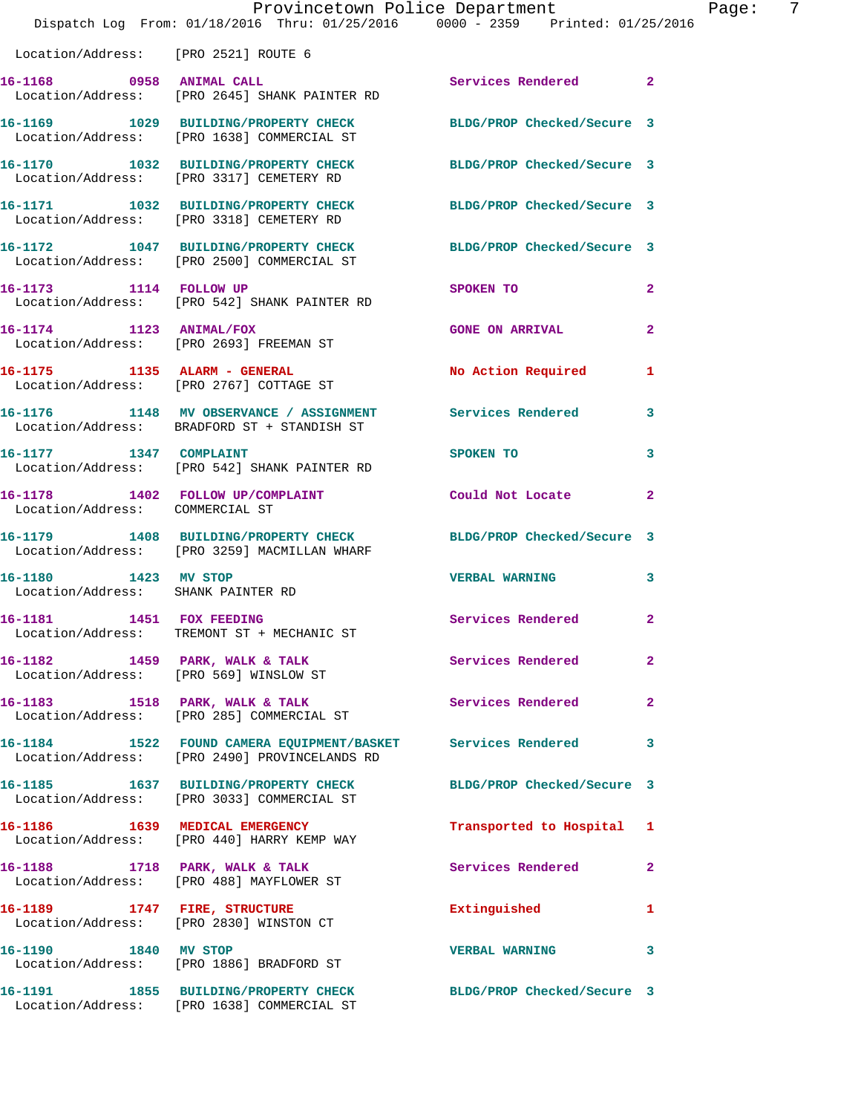|                                                            | Provincetown Police Department<br>Dispatch Log From: 01/18/2016 Thru: 01/25/2016 0000 - 2359 Printed: 01/25/2016 |                           | Page: 7      |
|------------------------------------------------------------|------------------------------------------------------------------------------------------------------------------|---------------------------|--------------|
| Location/Address: [PRO 2521] ROUTE 6                       |                                                                                                                  |                           |              |
|                                                            | 16-1168 0958 ANIMAL CALL<br>Location/Address: [PRO 2645] SHANK PAINTER RD                                        | Services Rendered 2       |              |
|                                                            | 16-1169 1029 BUILDING/PROPERTY CHECK BLDG/PROP Checked/Secure 3<br>Location/Address: [PRO 1638] COMMERCIAL ST    |                           |              |
|                                                            | 16-1170 1032 BUILDING/PROPERTY CHECK BLDG/PROP Checked/Secure 3<br>Location/Address: [PRO 3317] CEMETERY RD      |                           |              |
|                                                            | 16-1171 1032 BUILDING/PROPERTY CHECK BLDG/PROP Checked/Secure 3<br>Location/Address: [PRO 3318] CEMETERY RD      |                           |              |
|                                                            | 16-1172 1047 BUILDING/PROPERTY CHECK BLDG/PROP Checked/Secure 3<br>Location/Address: [PRO 2500] COMMERCIAL ST    |                           |              |
|                                                            | 16-1173 1114 FOLLOW UP<br>Location/Address: [PRO 542] SHANK PAINTER RD                                           | SPOKEN TO                 | $\mathbf{2}$ |
|                                                            | 16-1174 1123 ANIMAL/FOX<br>Location/Address: [PRO 2693] FREEMAN ST                                               | <b>GONE ON ARRIVAL</b>    | $\mathbf{2}$ |
|                                                            | 16-1175    1135    ALARM - GENERAL<br>Location/Address: [PRO 2767] COTTAGE ST                                    | No Action Required        | 1            |
|                                                            | 16-1176 1148 MV OBSERVANCE / ASSIGNMENT Services Rendered 3<br>Location/Address: BRADFORD ST + STANDISH ST       |                           |              |
|                                                            | 16-1177 1347 COMPLAINT<br>Location/Address: [PRO 542] SHANK PAINTER RD                                           | SPOKEN TO                 | 3            |
| Location/Address: COMMERCIAL ST                            | 16-1178 1402 FOLLOW UP/COMPLAINT Could Not Locate 2                                                              |                           |              |
|                                                            | 16-1179 1408 BUILDING/PROPERTY CHECK BLDG/PROP Checked/Secure 3<br>Location/Address: [PRO 3259] MACMILLAN WHARF  |                           |              |
| 16-1180 1423 MV STOP<br>Location/Address: SHANK PAINTER RD |                                                                                                                  | <b>VERBAL WARNING 3</b>   |              |
| 1451 FOX FEEDING<br>16–1181                                | Location/Address: TREMONT ST + MECHANIC ST                                                                       | Services Rendered         | 2            |
|                                                            |                                                                                                                  | Services Rendered         | $\mathbf{2}$ |
|                                                            | 16-1183 1518 PARK, WALK & TALK<br>Location/Address: [PRO 285] COMMERCIAL ST                                      | Services Rendered         | $\mathbf{2}$ |
|                                                            | 16-1184 1522 FOUND CAMERA EQUIPMENT/BASKET Services Rendered<br>Location/Address: [PRO 2490] PROVINCELANDS RD    |                           | 3            |
|                                                            | 16-1185 1637 BUILDING/PROPERTY CHECK BLDG/PROP Checked/Secure 3<br>Location/Address: [PRO 3033] COMMERCIAL ST    |                           |              |
|                                                            | 16-1186   1639   MEDICAL EMERGENCY<br>Location/Address: [PRO 440] HARRY KEMP WAY                                 | Transported to Hospital 1 |              |
|                                                            | 16-1188 1718 PARK, WALK & TALK<br>Location/Address: [PRO 488] MAYFLOWER ST                                       | Services Rendered         | $\mathbf{2}$ |
|                                                            | 16-1189 1747 FIRE, STRUCTURE<br>Location/Address: [PRO 2830] WINSTON CT                                          | Extinguished              | 1            |
|                                                            | 16-1190 1840 MV STOP<br>Location/Address: [PRO 1886] BRADFORD ST                                                 | <b>VERBAL WARNING</b>     | 3            |
|                                                            | 16-1191 1855 BUILDING/PROPERTY CHECK BLDG/PROP Checked/Secure 3<br>Location/Address: [PRO 1638] COMMERCIAL ST    |                           |              |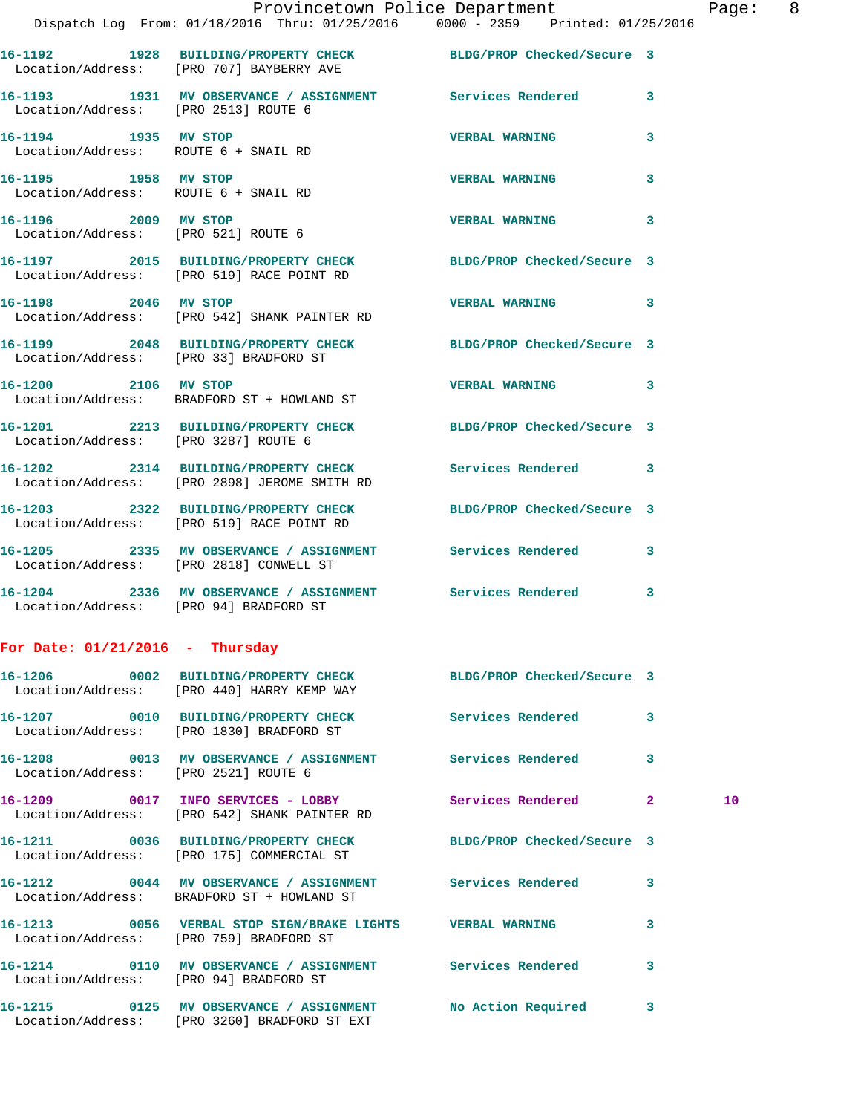| $\mathbb{R}^n$                       | Provincetown Police Department<br>Dispatch Log From: 01/18/2016 Thru: 01/25/2016 0000 - 2359 Printed: 01/25/2016 |                       |   | Page |
|--------------------------------------|------------------------------------------------------------------------------------------------------------------|-----------------------|---|------|
|                                      | 16-1192 1928 BUILDING/PROPERTY CHECK BLDG/PROP Checked/Secure 3                                                  |                       |   |      |
|                                      | Location/Address: [PRO 707] BAYBERRY AVE                                                                         |                       |   |      |
|                                      | 16-1193 1931 MV OBSERVANCE / ASSIGNMENT Services Rendered 3<br>Location/Address: [PRO 2513] ROUTE 6              |                       |   |      |
|                                      | 16-1194 1935 MV STOP<br>Location/Address: ROUTE 6 + SNAIL RD                                                     | <b>VERBAL WARNING</b> | 3 |      |
| 16-1195 1958 MV STOP                 | Location/Address: ROUTE 6 + SNAIL RD                                                                             | <b>VERBAL WARNING</b> | 3 |      |
|                                      | 16-1196 2009 MV STOP<br>Location/Address: [PRO 521] ROUTE 6                                                      | <b>VERBAL WARNING</b> | 3 |      |
|                                      | 16-1197 2015 BUILDING/PROPERTY CHECK BLDG/PROP Checked/Secure 3<br>Location/Address: [PRO 519] RACE POINT RD     |                       |   |      |
|                                      | 16-1198 2046 MV STOP<br>Location/Address: [PRO 542] SHANK PAINTER RD                                             | <b>VERBAL WARNING</b> | 3 |      |
|                                      | 16-1199 2048 BUILDING/PROPERTY CHECK BLDG/PROP Checked/Secure 3<br>Location/Address: [PRO 33] BRADFORD ST        |                       |   |      |
|                                      | 16-1200 2106 MV STOP<br>Location/Address: BRADFORD ST + HOWLAND ST                                               | VERBAL WARNING 3      |   |      |
|                                      | 16-1201 2213 BUILDING/PROPERTY CHECK BLDG/PROP Checked/Secure 3<br>Location/Address: [PRO 3287] ROUTE 6          |                       |   |      |
|                                      | 16-1202 2314 BUILDING/PROPERTY CHECK Services Rendered 3<br>Location/Address: [PRO 2898] JEROME SMITH RD         |                       |   |      |
|                                      | 16-1203 2322 BUILDING/PROPERTY CHECK BLDG/PROP Checked/Secure 3<br>Location/Address: [PRO 519] RACE POINT RD     |                       |   |      |
|                                      | 16-1205 2335 MV OBSERVANCE / ASSIGNMENT Services Rendered 3<br>Location/Address: [PRO 2818] CONWELL ST           |                       |   |      |
|                                      | 16-1204 2336 MV OBSERVANCE / ASSIGNMENT Services Rendered<br>Location/Address: [PRO 94] BRADFORD ST              |                       | 3 |      |
| For Date: $01/21/2016$ - Thursday    |                                                                                                                  |                       |   |      |
|                                      | 16-1206 0002 BUILDING/PROPERTY CHECK BLDG/PROP Checked/Secure 3<br>Location/Address: [PRO 440] HARRY KEMP WAY    |                       |   |      |
|                                      | 16-1207 0010 BUILDING/PROPERTY CHECK Services Rendered<br>Location/Address: [PRO 1830] BRADFORD ST               |                       | 3 |      |
| Location/Address: [PRO 2521] ROUTE 6 | 16-1208 0013 MV OBSERVANCE / ASSIGNMENT Services Rendered 3                                                      |                       |   |      |
|                                      | 16-1209 0017 INFO SERVICES - LOBBY Services Rendered 2<br>Location/Address: [PRO 542] SHANK PAINTER RD           |                       |   | 10   |
|                                      | 16-1211 0036 BUILDING/PROPERTY CHECK BLDG/PROP Checked/Secure 3<br>Location/Address: [PRO 175] COMMERCIAL ST     |                       |   |      |
|                                      | 16-1212 0044 MV OBSERVANCE / ASSIGNMENT Services Rendered<br>Location/Address: BRADFORD ST + HOWLAND ST          |                       | 3 |      |
|                                      | 16-1213 0056 VERBAL STOP SIGN/BRAKE LIGHTS VERBAL WARNING<br>Location/Address: [PRO 759] BRADFORD ST             |                       | 3 |      |
|                                      | 16-1214 0110 MV OBSERVANCE / ASSIGNMENT Services Rendered<br>Location/Address: [PRO 94] BRADFORD ST              |                       | 3 |      |
|                                      | 16-1215 		 0125 MV OBSERVANCE / ASSIGNMENT 		 No Action Required 3                                               |                       |   |      |

Location/Address: [PRO 3260] BRADFORD ST EXT

Page: 8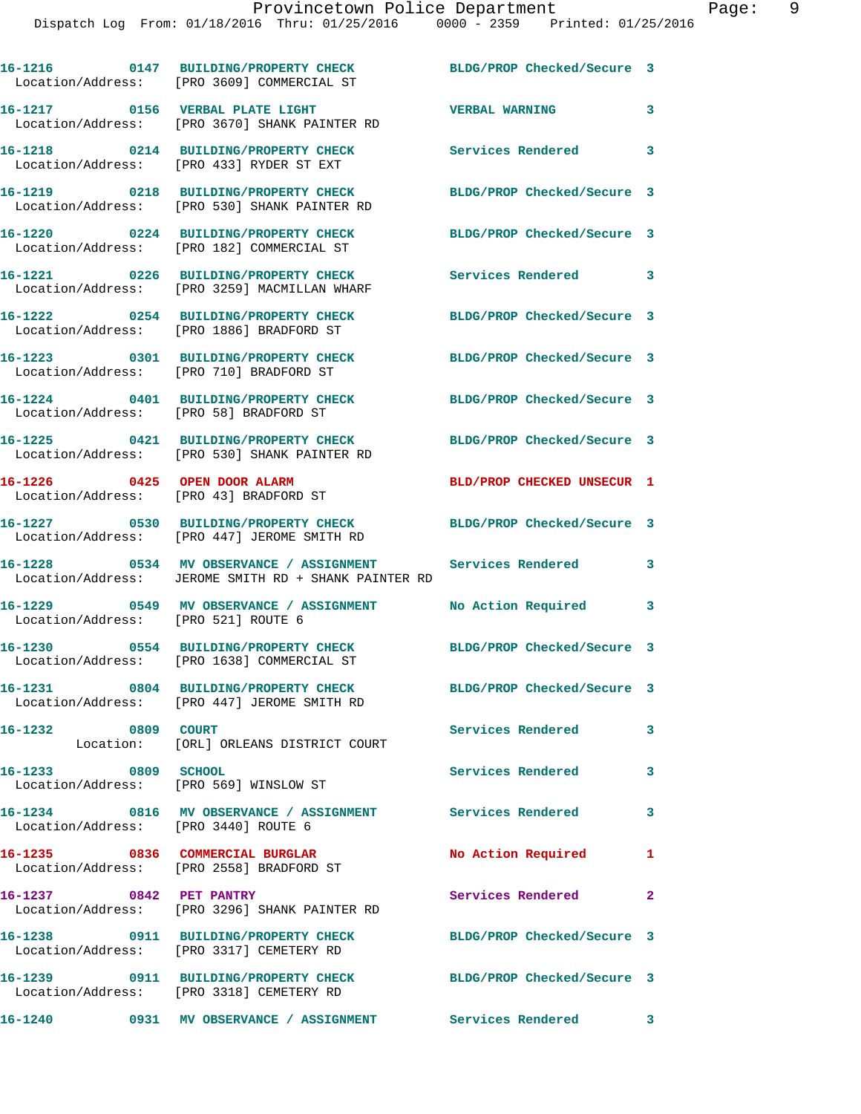**16-1216 0147 BUILDING/PROPERTY CHECK BLDG/PROP Checked/Secure 3**  Location/Address: [PRO 3609] COMMERCIAL ST **16-1217 0156 VERBAL PLATE LIGHT VERBAL WARNING 3**  Location/Address: [PRO 3670] SHANK PAINTER RD **16-1218 0214 BUILDING/PROPERTY CHECK Services Rendered 3**  Location/Address: [PRO 433] RYDER ST EXT **16-1219 0218 BUILDING/PROPERTY CHECK BLDG/PROP Checked/Secure 3**  Location/Address: [PRO 530] SHANK PAINTER RD **16-1220 0224 BUILDING/PROPERTY CHECK BLDG/PROP Checked/Secure 3**  Location/Address: [PRO 182] COMMERCIAL ST **16-1221 0226 BUILDING/PROPERTY CHECK Services Rendered 3**  Location/Address: [PRO 3259] MACMILLAN WHARF **16-1222 0254 BUILDING/PROPERTY CHECK BLDG/PROP Checked/Secure 3**  Location/Address: [PRO 1886] BRADFORD ST **16-1223 0301 BUILDING/PROPERTY CHECK BLDG/PROP Checked/Secure 3**  Location/Address: [PRO 710] BRADFORD ST **16-1224 0401 BUILDING/PROPERTY CHECK BLDG/PROP Checked/Secure 3**  Location/Address: [PRO 58] BRADFORD ST **16-1225 0421 BUILDING/PROPERTY CHECK BLDG/PROP Checked/Secure 3**  Location/Address: [PRO 530] SHANK PAINTER RD **16-1226 0425 OPEN DOOR ALARM BLD/PROP CHECKED UNSECUR 1**  Location/Address: [PRO 43] BRADFORD ST **16-1227 0530 BUILDING/PROPERTY CHECK BLDG/PROP Checked/Secure 3**  Location/Address: [PRO 447] JEROME SMITH RD **16-1228 0534 MV OBSERVANCE / ASSIGNMENT Services Rendered 3**  Location/Address: JEROME SMITH RD + SHANK PAINTER RD **16-1229 0549 MV OBSERVANCE / ASSIGNMENT No Action Required 3**  Location/Address: [PRO 521] ROUTE 6 **16-1230 0554 BUILDING/PROPERTY CHECK BLDG/PROP Checked/Secure 3**  Location/Address: [PRO 1638] COMMERCIAL ST **16-1231 0804 BUILDING/PROPERTY CHECK BLDG/PROP Checked/Secure 3**  Location/Address: [PRO 447] JEROME SMITH RD **16-1232 0809 COURT Services Rendered 3**  Location: [ORL] ORLEANS DISTRICT COURT **16-1233 0809 SCHOOL Services Rendered 3**  Location/Address: [PRO 569] WINSLOW ST **16-1234 0816 MV OBSERVANCE / ASSIGNMENT Services Rendered 3**  Location/Address: [PRO 3440] ROUTE 6 16-1235 0836 COMMERCIAL BURGLAR No Action Required 1 Location/Address: [PRO 2558] BRADFORD ST **16-1237 0842 PET PANTRY Services Rendered 2**  Location/Address: [PRO 3296] SHANK PAINTER RD **16-1238 0911 BUILDING/PROPERTY CHECK BLDG/PROP Checked/Secure 3**  Location/Address: [PRO 3317] CEMETERY RD **16-1239 0911 BUILDING/PROPERTY CHECK BLDG/PROP Checked/Secure 3**  Location/Address: [PRO 3318] CEMETERY RD

**16-1240 0931 MV OBSERVANCE / ASSIGNMENT Services Rendered 3**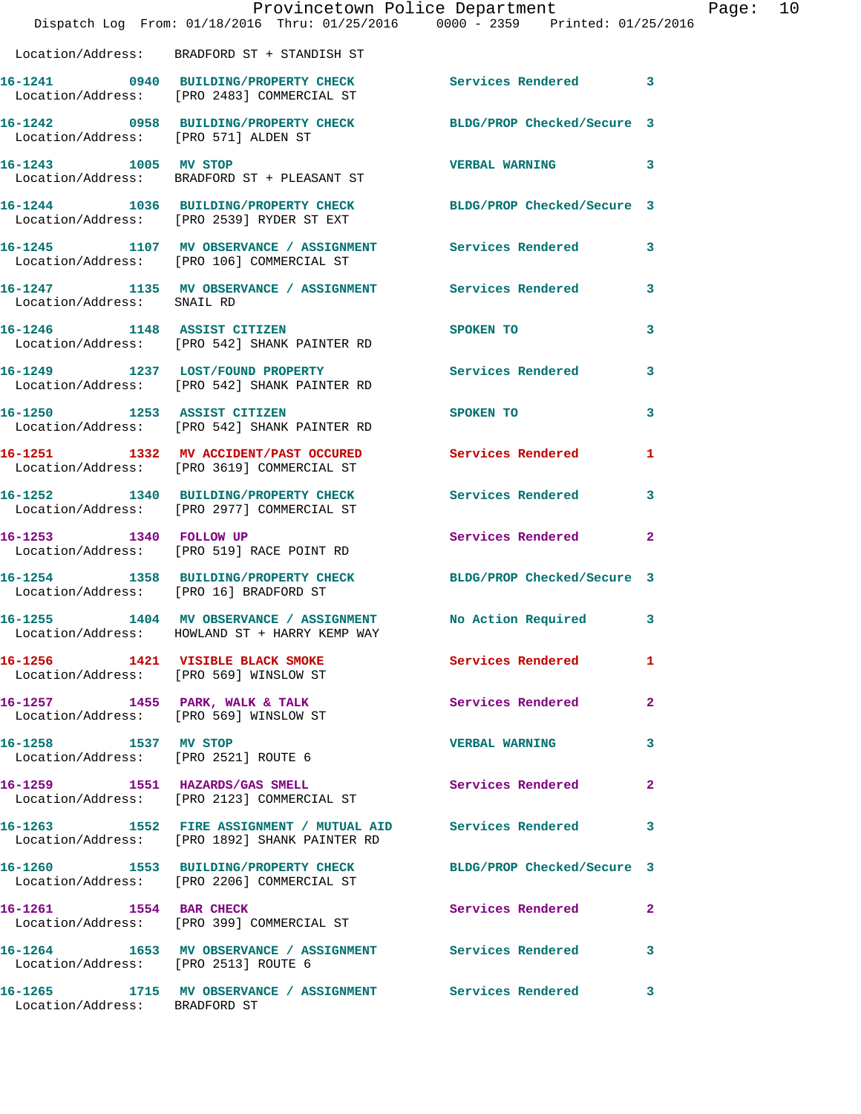|                                                              | Provincetown Police Department                                                                                |                            |                |
|--------------------------------------------------------------|---------------------------------------------------------------------------------------------------------------|----------------------------|----------------|
|                                                              | Dispatch Log From: 01/18/2016 Thru: 01/25/2016 0000 - 2359 Printed: 01/25/2016                                |                            |                |
|                                                              | Location/Address: BRADFORD ST + STANDISH ST                                                                   |                            |                |
|                                                              | 16-1241 0940 BUILDING/PROPERTY CHECK Services Rendered<br>Location/Address: [PRO 2483] COMMERCIAL ST          |                            | 3              |
| Location/Address: [PRO 571] ALDEN ST                         | 16-1242 0958 BUILDING/PROPERTY CHECK                                                                          | BLDG/PROP Checked/Secure 3 |                |
|                                                              | 16-1243 1005 MV STOP<br>Location/Address: BRADFORD ST + PLEASANT ST                                           | <b>VERBAL WARNING</b>      | 3              |
|                                                              | 16-1244 1036 BUILDING/PROPERTY CHECK BLDG/PROP Checked/Secure 3<br>Location/Address: [PRO 2539] RYDER ST EXT  |                            |                |
|                                                              | 16-1245 1107 MV OBSERVANCE / ASSIGNMENT Services Rendered<br>Location/Address: [PRO 106] COMMERCIAL ST        |                            | 3              |
| Location/Address: SNAIL RD                                   | 16-1247 1135 MV OBSERVANCE / ASSIGNMENT Services Rendered                                                     |                            | 3              |
|                                                              | 16-1246 1148 ASSIST CITIZEN<br>Location/Address: [PRO 542] SHANK PAINTER RD                                   | SPOKEN TO                  | 3              |
|                                                              | 16-1249 1237 LOST/FOUND PROPERTY<br>Location/Address: [PRO 542] SHANK PAINTER RD                              | <b>Services Rendered</b>   | 3              |
|                                                              | 16-1250 1253 ASSIST CITIZEN<br>Location/Address: [PRO 542] SHANK PAINTER RD                                   | SPOKEN TO                  | 3              |
|                                                              | 16-1251 1332 MV ACCIDENT/PAST OCCURED<br>Location/Address: [PRO 3619] COMMERCIAL ST                           | Services Rendered          | 1              |
|                                                              | 16-1252 1340 BUILDING/PROPERTY CHECK<br>Location/Address: [PRO 2977] COMMERCIAL ST                            | <b>Services Rendered</b>   | 3              |
| 16-1253 1340 FOLLOW UP                                       | Location/Address: [PRO 519] RACE POINT RD                                                                     | Services Rendered          | $\overline{a}$ |
| Location/Address: [PRO 16] BRADFORD ST                       | 16-1254 1358 BUILDING/PROPERTY CHECK                                                                          | BLDG/PROP Checked/Secure 3 |                |
|                                                              | 16-1255 1404 MV OBSERVANCE / ASSIGNMENT No Action Required<br>Location/Address: HOWLAND ST + HARRY KEMP WAY   |                            | $\mathbf{3}$   |
| Location/Address: [PRO 569] WINSLOW ST                       | 16-1256 1421 VISIBLE BLACK SMOKE                                                                              | Services Rendered          | 1.             |
|                                                              | 16-1257 1455 PARK, WALK & TALK<br>Location/Address: [PRO 569] WINSLOW ST                                      | Services Rendered          | $\mathbf{2}$   |
| 16-1258 1537 MV STOP<br>Location/Address: [PRO 2521] ROUTE 6 |                                                                                                               | <b>VERBAL WARNING</b>      | 3              |
|                                                              | 16-1259 1551 HAZARDS/GAS SMELL<br>Location/Address: [PRO 2123] COMMERCIAL ST                                  | Services Rendered          | 2              |
|                                                              | Location/Address: [PRO 1892] SHANK PAINTER RD                                                                 |                            | 3              |
|                                                              | 16-1260 1553 BUILDING/PROPERTY CHECK BLDG/PROP Checked/Secure 3<br>Location/Address: [PRO 2206] COMMERCIAL ST |                            |                |
| 16-1261 1554 BAR CHECK                                       | Location/Address: [PRO 399] COMMERCIAL ST                                                                     | Services Rendered          | $\mathbf{2}$   |
| Location/Address: [PRO 2513] ROUTE 6                         | 16-1264 1653 MV OBSERVANCE / ASSIGNMENT Services Rendered                                                     |                            | 3              |
| Location/Address: BRADFORD ST                                | 16-1265 1715 MV OBSERVANCE / ASSIGNMENT Services Rendered                                                     |                            | 3              |

Page: 10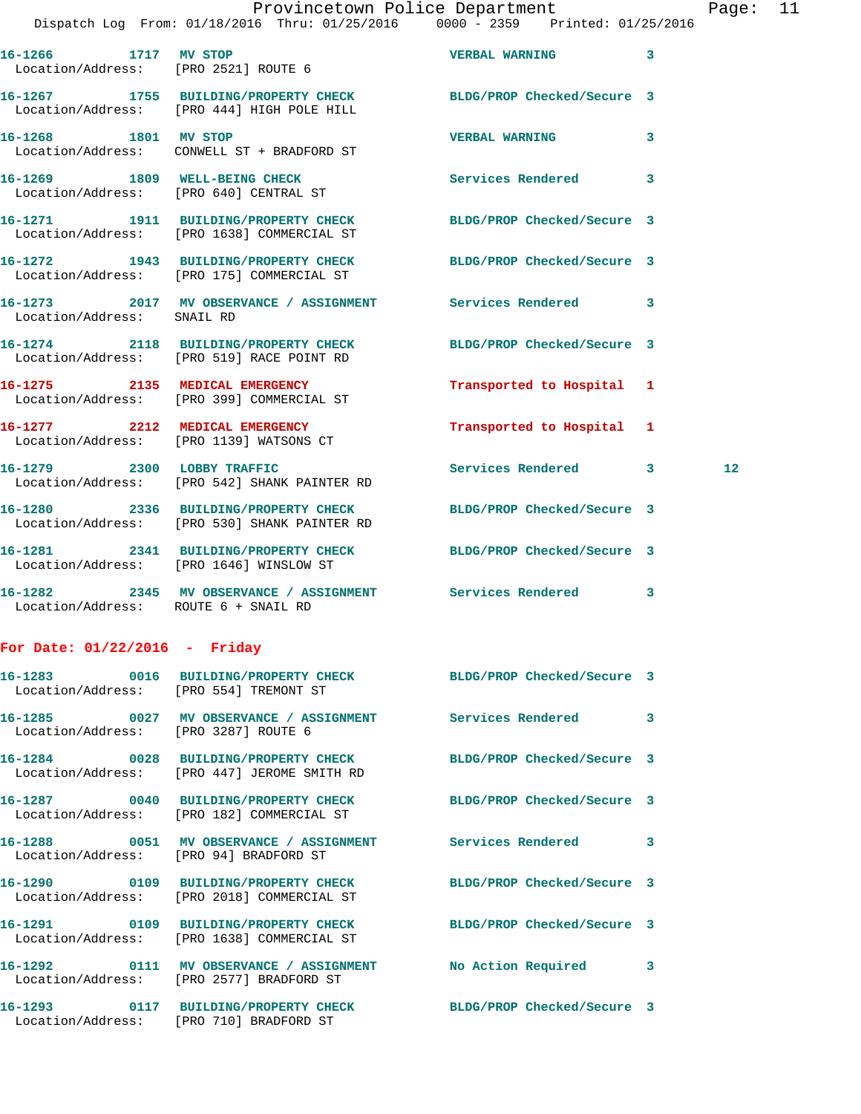| 16-1266 1717 MV STOP                 | Location/Address: [PRO 2521] ROUTE 6                                                                            | <b>VERBAL WARNING</b>      | 3 |    |
|--------------------------------------|-----------------------------------------------------------------------------------------------------------------|----------------------------|---|----|
|                                      | 16-1267 1755 BUILDING/PROPERTY CHECK BLDG/PROP Checked/Secure 3<br>Location/Address: [PRO 444] HIGH POLE HILL   |                            |   |    |
| 16-1268 1801 MV STOP                 | Location/Address: CONWELL ST + BRADFORD ST                                                                      | <b>VERBAL WARNING</b>      | 3 |    |
|                                      | 16-1269 1809 WELL-BEING CHECK<br>Location/Address: [PRO 640] CENTRAL ST                                         | Services Rendered          | 3 |    |
|                                      | 16-1271 1911 BUILDING/PROPERTY CHECK BLDG/PROP Checked/Secure 3<br>Location/Address: [PRO 1638] COMMERCIAL ST   |                            |   |    |
|                                      | 16-1272 1943 BUILDING/PROPERTY CHECK BLDG/PROP Checked/Secure 3<br>Location/Address: [PRO 175] COMMERCIAL ST    |                            |   |    |
| Location/Address: SNAIL RD           | 16-1273 2017 MV OBSERVANCE / ASSIGNMENT Services Rendered                                                       |                            | 3 |    |
|                                      | 16-1274 2118 BUILDING/PROPERTY CHECK BLDG/PROP Checked/Secure 3<br>Location/Address: [PRO 519] RACE POINT RD    |                            |   |    |
|                                      | 16-1275 2135 MEDICAL EMERGENCY<br>Location/Address: [PRO 399] COMMERCIAL ST                                     | Transported to Hospital 1  |   |    |
|                                      | 16-1277 2212 MEDICAL EMERGENCY<br>Location/Address: [PRO 1139] WATSONS CT                                       | Transported to Hospital 1  |   |    |
|                                      | 16-1279 2300 LOBBY TRAFFIC<br>Location/Address: [PRO 542] SHANK PAINTER RD                                      | Services Rendered 3        |   | 12 |
|                                      | 16-1280 2336 BUILDING/PROPERTY CHECK BLDG/PROP Checked/Secure 3<br>Location/Address: [PRO 530] SHANK PAINTER RD |                            |   |    |
|                                      | 16-1281  2341 BUILDING/PROPERTY CHECK BLDG/PROP Checked/Secure 3<br>Location/Address: [PRO 1646] WINSLOW ST     |                            |   |    |
| Location/Address: ROUTE 6 + SNAIL RD | 16-1282 2345 MV OBSERVANCE / ASSIGNMENT Services Rendered 3                                                     |                            |   |    |
| For Date: $01/22/2016$ - Friday      |                                                                                                                 |                            |   |    |
|                                      | 16-1283 0016 BUILDING/PROPERTY CHECK<br>Location/Address: [PRO 554] TREMONT ST                                  | BLDG/PROP Checked/Secure 3 |   |    |
| Location/Address: [PRO 3287] ROUTE 6 | 16-1285 0027 MV OBSERVANCE / ASSIGNMENT Services Rendered                                                       |                            | 3 |    |
|                                      | 16-1284 0028 BUILDING/PROPERTY CHECK BLDG/PROP Checked/Secure 3<br>Location/Address: [PRO 447] JEROME SMITH RD  |                            |   |    |
|                                      | 16-1287 0040 BUILDING/PROPERTY CHECK BLDG/PROP Checked/Secure 3<br>Location/Address: [PRO 182] COMMERCIAL ST    |                            |   |    |
|                                      | 16-1288 6051 MV OBSERVANCE / ASSIGNMENT Services Rendered<br>Location/Address: [PRO 94] BRADFORD ST             |                            | 3 |    |
|                                      | 16-1290 0109 BUILDING/PROPERTY CHECK BLDG/PROP Checked/Secure 3<br>Location/Address: [PRO 2018] COMMERCIAL ST   |                            |   |    |
|                                      | 16-1291 0109 BUILDING/PROPERTY CHECK BLDG/PROP Checked/Secure 3<br>Location/Address: [PRO 1638] COMMERCIAL ST   |                            |   |    |
|                                      | 16-1292 0111 MV OBSERVANCE / ASSIGNMENT No Action Required<br>Location/Address: [PRO 2577] BRADFORD ST          |                            | 3 |    |

**16-1293 0117 BUILDING/PROPERTY CHECK BLDG/PROP Checked/Secure 3**  Location/Address: [PRO 710] BRADFORD ST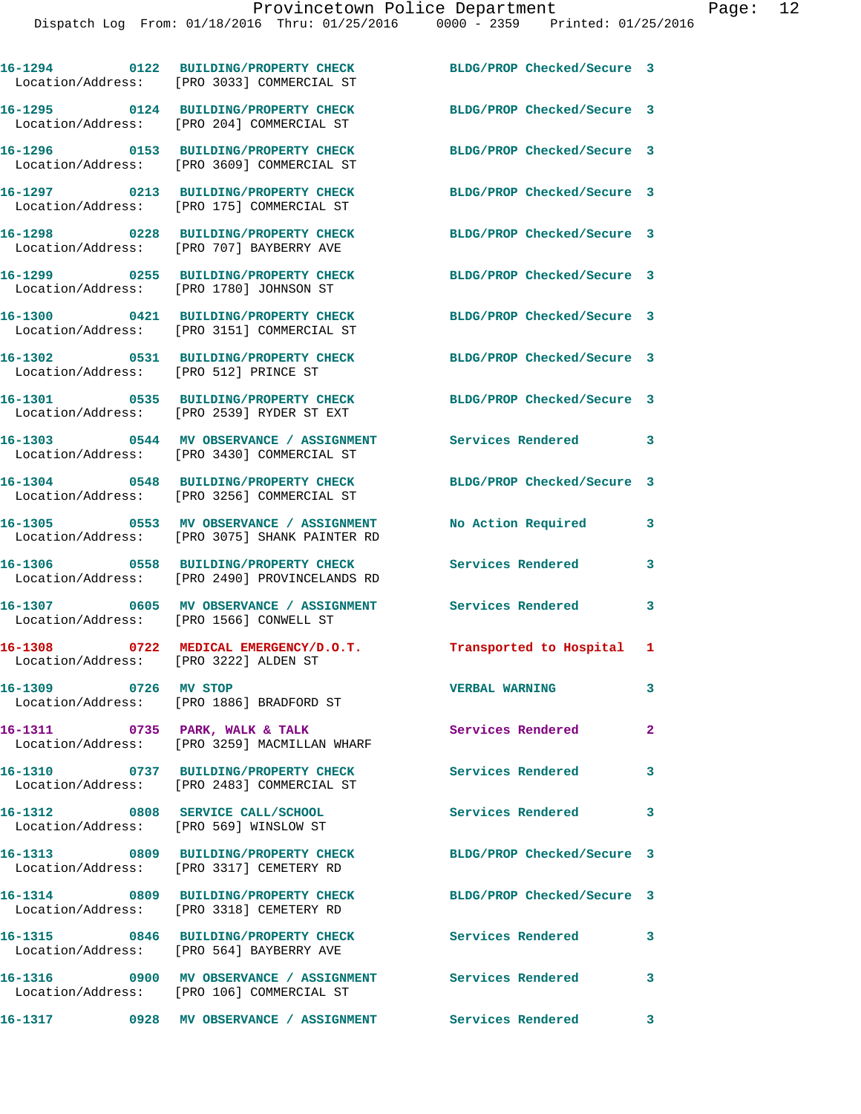|                                         | 16-1294 0122 BUILDING/PROPERTY CHECK<br>Location/Address: [PRO 3033] COMMERCIAL ST                   | BLDG/PROP Checked/Secure 3 |                         |
|-----------------------------------------|------------------------------------------------------------------------------------------------------|----------------------------|-------------------------|
|                                         | 16-1295 0124 BUILDING/PROPERTY CHECK<br>Location/Address: [PRO 204] COMMERCIAL ST                    | BLDG/PROP Checked/Secure 3 |                         |
|                                         | 16-1296 0153 BUILDING/PROPERTY CHECK<br>Location/Address: [PRO 3609] COMMERCIAL ST                   | BLDG/PROP Checked/Secure 3 |                         |
|                                         | 16-1297 0213 BUILDING/PROPERTY CHECK<br>Location/Address: [PRO 175] COMMERCIAL ST                    | BLDG/PROP Checked/Secure 3 |                         |
|                                         | 16-1298 0228 BUILDING/PROPERTY CHECK<br>Location/Address: [PRO 707] BAYBERRY AVE                     | BLDG/PROP Checked/Secure 3 |                         |
| Location/Address: [PRO 1780] JOHNSON ST | 16-1299 0255 BUILDING/PROPERTY CHECK                                                                 | BLDG/PROP Checked/Secure 3 |                         |
|                                         | 16-1300 0421 BUILDING/PROPERTY CHECK<br>Location/Address: [PRO 3151] COMMERCIAL ST                   | BLDG/PROP Checked/Secure 3 |                         |
| Location/Address: [PRO 512] PRINCE ST   | 16-1302 0531 BUILDING/PROPERTY CHECK                                                                 | BLDG/PROP Checked/Secure 3 |                         |
|                                         | 16-1301 0535 BUILDING/PROPERTY CHECK<br>Location/Address: [PRO 2539] RYDER ST EXT                    | BLDG/PROP Checked/Secure 3 |                         |
|                                         | 16-1303 0544 MV OBSERVANCE / ASSIGNMENT<br>Location/Address: [PRO 3430] COMMERCIAL ST                | Services Rendered 3        |                         |
|                                         | 16-1304 0548 BUILDING/PROPERTY CHECK<br>Location/Address: [PRO 3256] COMMERCIAL ST                   | BLDG/PROP Checked/Secure 3 |                         |
|                                         | 16-1305 0553 MV OBSERVANCE / ASSIGNMENT<br>Location/Address: [PRO 3075] SHANK PAINTER RD             | No Action Required         | 3                       |
|                                         | 16-1306 0558 BUILDING/PROPERTY CHECK<br>Location/Address: [PRO 2490] PROVINCELANDS RD                | <b>Services Rendered</b>   | 3                       |
| Location/Address: [PRO 1566] CONWELL ST | 16-1307 0605 MV OBSERVANCE / ASSIGNMENT                                                              | Services Rendered          | $\mathbf{3}$            |
| Location/Address: [PRO 3222] ALDEN ST   | 16-1308 0722 MEDICAL EMERGENCY/D.O.T.                                                                | Transported to Hospital 1  |                         |
| 16-1309 0726 MV STOP                    | Location/Address: [PRO 1886] BRADFORD ST                                                             | <b>VERBAL WARNING</b>      |                         |
|                                         | 16-1311 0735 PARK, WALK & TALK<br>Location/Address: [PRO 3259] MACMILLAN WHARF                       | Services Rendered          | $\mathbf{2}$            |
|                                         | 16-1310 0737 BUILDING/PROPERTY CHECK<br>Location/Address: [PRO 2483] COMMERCIAL ST                   | <b>Services Rendered</b>   | $\overline{\mathbf{3}}$ |
| Location/Address: [PRO 569] WINSLOW ST  | 16-1312 0808 SERVICE CALL/SCHOOL                                                                     | Services Rendered          | 3                       |
|                                         | 16-1313 0809 BUILDING/PROPERTY CHECK<br>Location/Address: [PRO 3317] CEMETERY RD                     | BLDG/PROP Checked/Secure 3 |                         |
|                                         | 16-1314 0809 BUILDING/PROPERTY CHECK<br>Location/Address: [PRO 3318] CEMETERY RD                     | BLDG/PROP Checked/Secure 3 |                         |
|                                         | 16-1315 0846 BUILDING/PROPERTY CHECK Services Rendered 3<br>Location/Address: [PRO 564] BAYBERRY AVE |                            |                         |
|                                         | Location/Address: [PRO 106] COMMERCIAL ST                                                            |                            | 3                       |

**16-1317 0928 MV OBSERVANCE / ASSIGNMENT Services Rendered 3**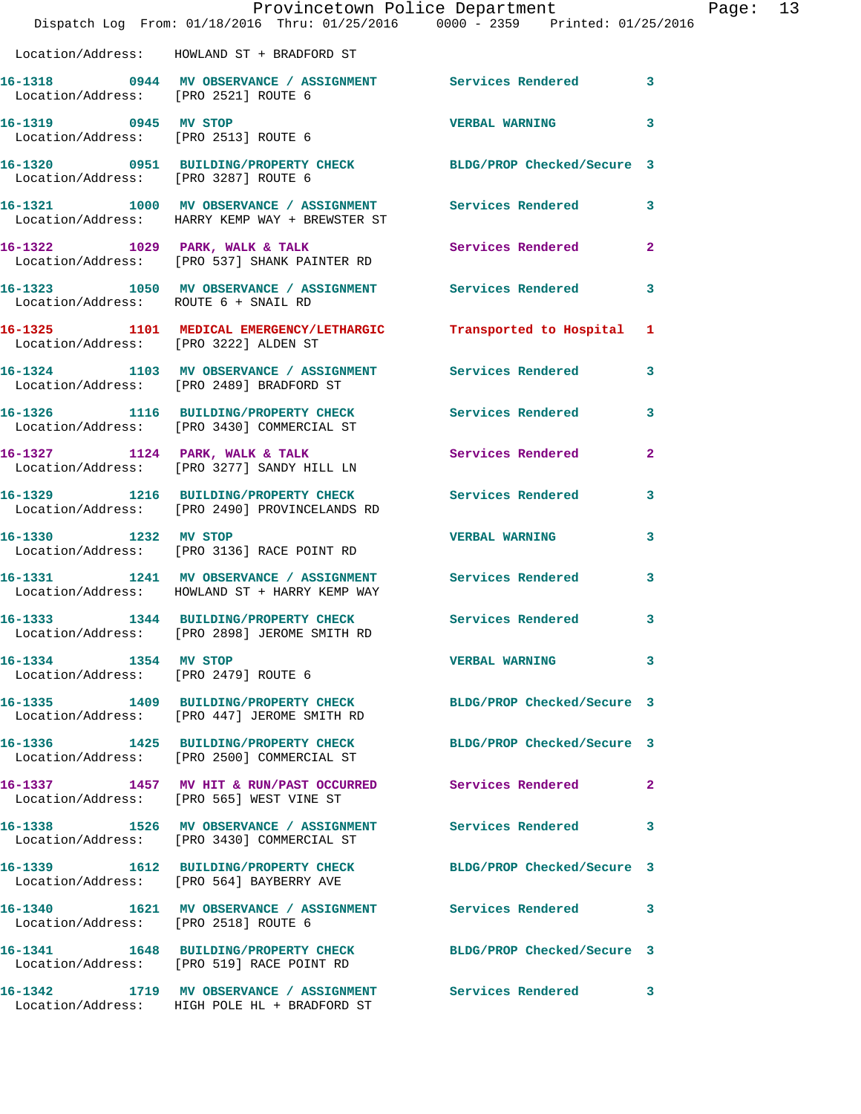|                                                              | Provincetown Police Department<br>Dispatch Log From: 01/18/2016 Thru: 01/25/2016 0000 - 2359 Printed: 01/25/2016 |                            |                |
|--------------------------------------------------------------|------------------------------------------------------------------------------------------------------------------|----------------------------|----------------|
|                                                              | Location/Address: HOWLAND ST + BRADFORD ST                                                                       |                            |                |
| Location/Address: [PRO 2521] ROUTE 6                         | 16-1318 		 0944 MV OBSERVANCE / ASSIGNMENT Services Rendered                                                     |                            | 3              |
| 16-1319 0945 MV STOP<br>Location/Address: [PRO 2513] ROUTE 6 |                                                                                                                  | <b>VERBAL WARNING</b>      | 3              |
| Location/Address: [PRO 3287] ROUTE 6                         | 16-1320 0951 BUILDING/PROPERTY CHECK BLDG/PROP Checked/Secure 3                                                  |                            |                |
|                                                              | 16-1321 1000 MV OBSERVANCE / ASSIGNMENT Services Rendered<br>Location/Address: HARRY KEMP WAY + BREWSTER ST      |                            | 3              |
|                                                              | 16-1322 1029 PARK, WALK & TALK 3 Services Rendered<br>Location/Address: [PRO 537] SHANK PAINTER RD               |                            | $\overline{a}$ |
| Location/Address: ROUTE 6 + SNAIL RD                         | 16-1323 1050 MV OBSERVANCE / ASSIGNMENT Services Rendered                                                        |                            | 3              |
| Location/Address: [PRO 3222] ALDEN ST                        | 16-1325 1101 MEDICAL EMERGENCY/LETHARGIC Transported to Hospital                                                 |                            | 1              |
|                                                              | 16-1324 1103 MV OBSERVANCE / ASSIGNMENT Services Rendered<br>Location/Address: [PRO 2489] BRADFORD ST            |                            | 3              |
|                                                              | 16-1326 1116 BUILDING/PROPERTY CHECK Services Rendered<br>Location/Address: [PRO 3430] COMMERCIAL ST             |                            | 3              |
|                                                              | 16-1327 1124 PARK, WALK & TALK<br>Location/Address: [PRO 3277] SANDY HILL LN                                     | Services Rendered          | $\mathbf{2}$   |
|                                                              | 16-1329 1216 BUILDING/PROPERTY CHECK Services Rendered<br>Location/Address: [PRO 2490] PROVINCELANDS RD          |                            | 3              |
| 16-1330 1232 MV STOP                                         | Location/Address: [PRO 3136] RACE POINT RD                                                                       | <b>VERBAL WARNING</b>      | 3              |
|                                                              | 16-1331 1241 MV OBSERVANCE / ASSIGNMENT Services Rendered<br>Location/Address: HOWLAND ST + HARRY KEMP WAY       |                            | 3              |
|                                                              | 16-1333 1344 BUILDING/PROPERTY CHECK Services Rendered<br>Location/Address: [PRO 2898] JEROME SMITH RD           |                            | 3              |
| 16-1334 1354 MV STOP                                         | Location/Address: [PRO 2479] ROUTE 6                                                                             | <b>VERBAL WARNING</b>      | 3              |
|                                                              | 16-1335 1409 BUILDING/PROPERTY CHECK BLDG/PROP Checked/Secure 3<br>Location/Address: [PRO 447] JEROME SMITH RD   |                            |                |
|                                                              | 16-1336 1425 BUILDING/PROPERTY CHECK BLDG/PROP Checked/Secure 3<br>Location/Address: [PRO 2500] COMMERCIAL ST    |                            |                |
|                                                              | 16-1337 1457 MV HIT & RUN/PAST OCCURRED Services Rendered<br>Location/Address: [PRO 565] WEST VINE ST            |                            | 2              |
|                                                              | 16-1338 1526 MV OBSERVANCE / ASSIGNMENT Services Rendered<br>Location/Address: [PRO 3430] COMMERCIAL ST          |                            | 3              |
|                                                              | 16-1339 1612 BUILDING/PROPERTY CHECK<br>Location/Address: [PRO 564] BAYBERRY AVE                                 | BLDG/PROP Checked/Secure 3 |                |
| Location/Address: [PRO 2518] ROUTE 6                         | 16-1340 1621 MV OBSERVANCE / ASSIGNMENT Services Rendered                                                        |                            | 3              |
|                                                              | 16-1341 1648 BUILDING/PROPERTY CHECK<br>Location/Address: [PRO 519] RACE POINT RD                                | BLDG/PROP Checked/Secure 3 |                |
|                                                              | 16-1342 1719 MV OBSERVANCE / ASSIGNMENT<br>Location/Address: HIGH POLE HL + BRADFORD ST                          | <b>Services Rendered</b>   | 3              |

Page: 13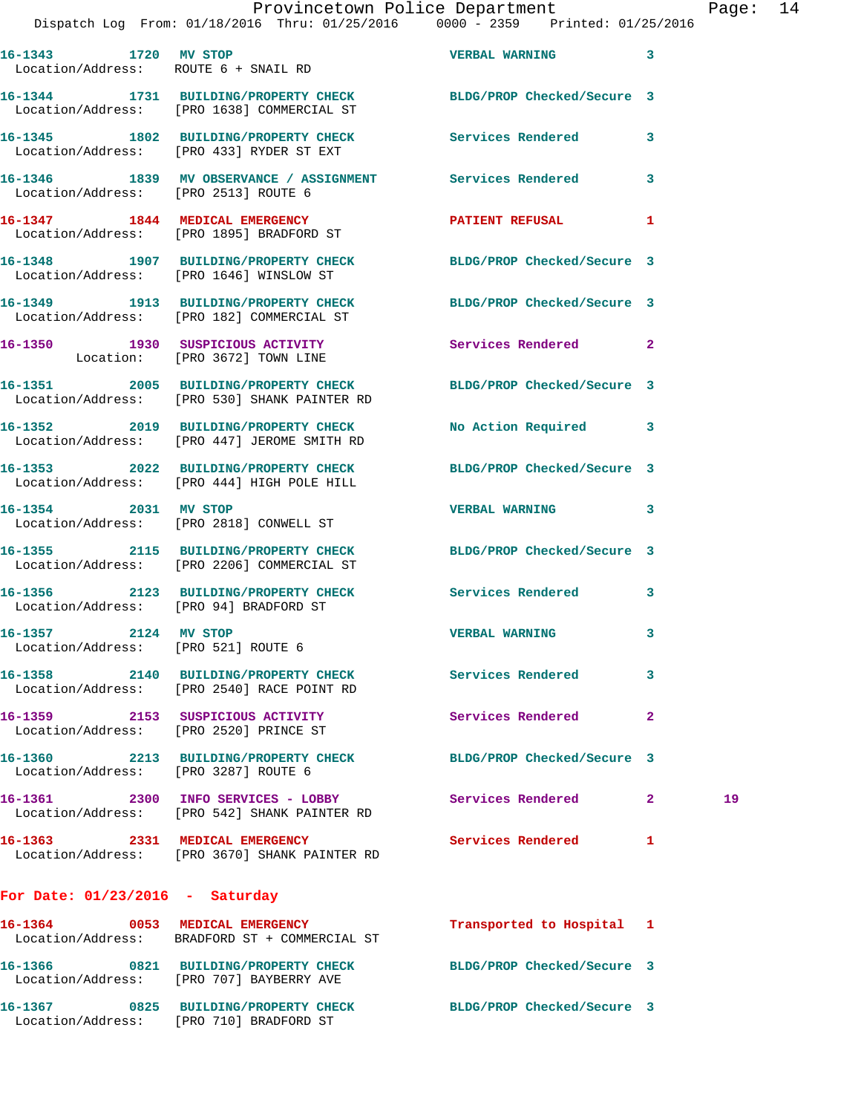| 16-1343 1720 MV STOP                                        | Location/Address: ROUTE 6 + SNAIL RD                                                                            | <b>VERBAL WARNING</b>      | 3            |    |
|-------------------------------------------------------------|-----------------------------------------------------------------------------------------------------------------|----------------------------|--------------|----|
|                                                             | 16-1344 1731 BUILDING/PROPERTY CHECK BLDG/PROP Checked/Secure 3<br>Location/Address: [PRO 1638] COMMERCIAL ST   |                            |              |    |
|                                                             | 16-1345 1802 BUILDING/PROPERTY CHECK Services Rendered<br>Location/Address: [PRO 433] RYDER ST EXT              |                            | 3            |    |
| Location/Address: [PRO 2513] ROUTE 6                        | 16-1346 1839 MV OBSERVANCE / ASSIGNMENT Services Rendered                                                       |                            | 3            |    |
|                                                             | 16-1347 1844 MEDICAL EMERGENCY<br>Location/Address: [PRO 1895] BRADFORD ST                                      | PATIENT REFUSAL 1          |              |    |
|                                                             | 16-1348 1907 BUILDING/PROPERTY CHECK BLDG/PROP Checked/Secure 3<br>Location/Address: [PRO 1646] WINSLOW ST      |                            |              |    |
|                                                             | 16-1349 1913 BUILDING/PROPERTY CHECK BLDG/PROP Checked/Secure 3<br>Location/Address: [PRO 182] COMMERCIAL ST    |                            |              |    |
|                                                             | 16-1350 1930 SUSPICIOUS ACTIVITY 1999 Services Rendered 2<br>Location: [PRO 3672] TOWN LINE                     |                            |              |    |
|                                                             | 16-1351 2005 BUILDING/PROPERTY CHECK BLDG/PROP Checked/Secure 3<br>Location/Address: [PRO 530] SHANK PAINTER RD |                            |              |    |
|                                                             | 16-1352 2019 BUILDING/PROPERTY CHECK<br>Location/Address: [PRO 447] JEROME SMITH RD                             | No Action Required 3       |              |    |
|                                                             | 16-1353 2022 BUILDING/PROPERTY CHECK BLDG/PROP Checked/Secure 3<br>Location/Address: [PRO 444] HIGH POLE HILL   |                            |              |    |
| 16-1354 2031 MV STOP                                        | Location/Address: [PRO 2818] CONWELL ST                                                                         | <b>VERBAL WARNING</b>      | 3            |    |
|                                                             | 16-1355 2115 BUILDING/PROPERTY CHECK BLDG/PROP Checked/Secure 3<br>Location/Address: [PRO 2206] COMMERCIAL ST   |                            |              |    |
| Location/Address: [PRO 94] BRADFORD ST                      | 16-1356 2123 BUILDING/PROPERTY CHECK Services Rendered 3                                                        |                            |              |    |
| 16-1357 2124 MV STOP<br>Location/Address: [PRO 521] ROUTE 6 |                                                                                                                 | <b>VERBAL WARNING</b>      | 3            |    |
| 16-1358                                                     | 2140 BUILDING/PROPERTY CHECK<br>Location/Address: [PRO 2540] RACE POINT RD                                      | Services Rendered          | 3            |    |
|                                                             | 16-1359 2153 SUSPICIOUS ACTIVITY<br>Location/Address: [PRO 2520] PRINCE ST                                      | Services Rendered          | $\mathbf{2}$ |    |
| Location/Address: [PRO 3287] ROUTE 6                        | 16-1360 2213 BUILDING/PROPERTY CHECK BLDG/PROP Checked/Secure 3                                                 |                            |              |    |
|                                                             | 16-1361 2300 INFO SERVICES - LOBBY<br>Location/Address: [PRO 542] SHANK PAINTER RD                              | Services Rendered          | $\mathbf{2}$ | 19 |
|                                                             | 16-1363 2331 MEDICAL EMERGENCY<br>Location/Address: [PRO 3670] SHANK PAINTER RD                                 | Services Rendered          | 1            |    |
| For Date: $01/23/2016$ - Saturday                           |                                                                                                                 |                            |              |    |
|                                                             | 16-1364 0053 MEDICAL EMERGENCY<br>Location/Address: BRADFORD ST + COMMERCIAL ST                                 | Transported to Hospital 1  |              |    |
|                                                             | 16-1366 0821 BUILDING/PROPERTY CHECK<br>Location/Address: [PRO 707] BAYBERRY AVE                                | BLDG/PROP Checked/Secure 3 |              |    |
|                                                             | 16-1367 0825 BUILDING/PROPERTY CHECK<br>Location/Address: [PRO 710] BRADFORD ST                                 | BLDG/PROP Checked/Secure 3 |              |    |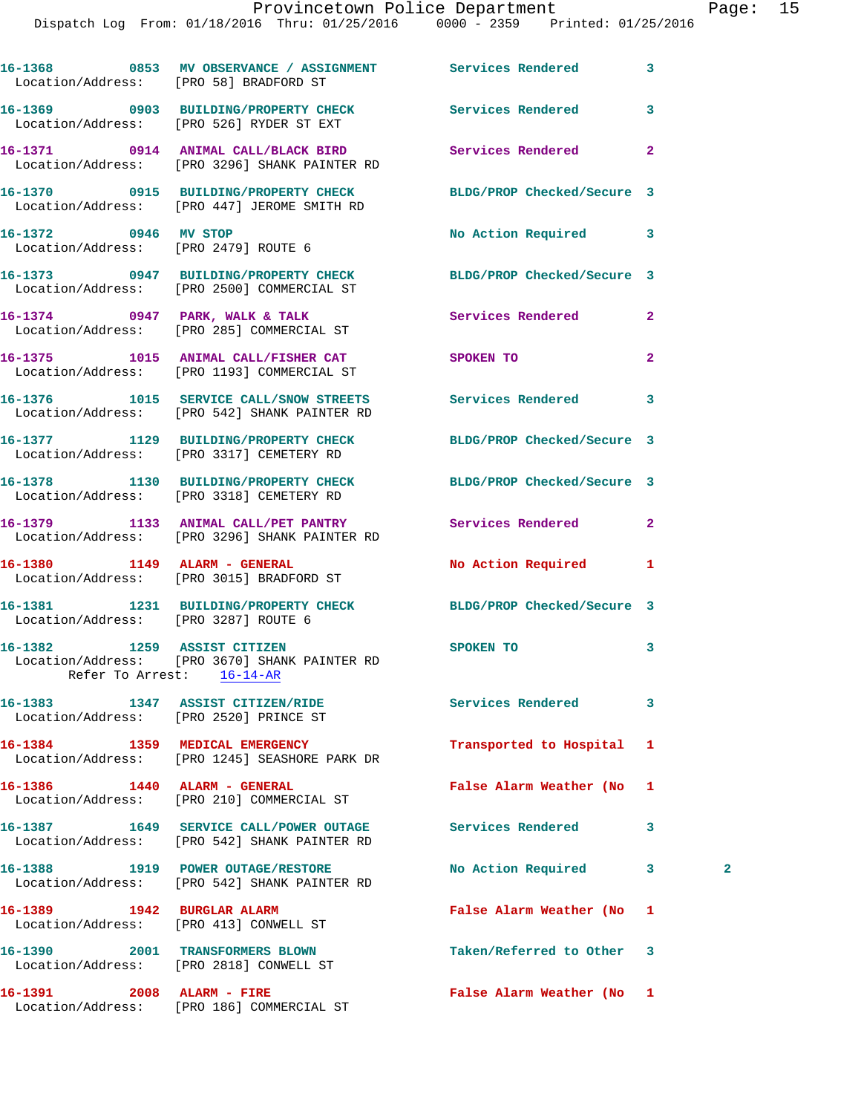|                                                                            | 16-1368 6853 MV OBSERVANCE / ASSIGNMENT Services Rendered<br>Location/Address: [PRO 58] BRADFORD ST            |                            | 3              |   |
|----------------------------------------------------------------------------|----------------------------------------------------------------------------------------------------------------|----------------------------|----------------|---|
|                                                                            | 16-1369 0903 BUILDING/PROPERTY CHECK Services Rendered<br>Location/Address: [PRO 526] RYDER ST EXT             |                            | 3              |   |
|                                                                            | 16-1371 0914 ANIMAL CALL/BLACK BIRD Services Rendered<br>Location/Address: [PRO 3296] SHANK PAINTER RD         |                            | $\mathbf{2}$   |   |
|                                                                            | 16-1370 0915 BUILDING/PROPERTY CHECK BLDG/PROP Checked/Secure 3<br>Location/Address: [PRO 447] JEROME SMITH RD |                            |                |   |
| 16-1372 0946 MV STOP                                                       | Location/Address: [PRO 2479] ROUTE 6                                                                           | No Action Required         | 3              |   |
|                                                                            | 16-1373 0947 BUILDING/PROPERTY CHECK BLDG/PROP Checked/Secure 3<br>Location/Address: [PRO 2500] COMMERCIAL ST  |                            |                |   |
|                                                                            | 16-1374 0947 PARK, WALK & TALK<br>Location/Address: [PRO 285] COMMERCIAL ST                                    | <b>Services Rendered</b>   | $\mathbf{2}$   |   |
|                                                                            | 16-1375 1015 ANIMAL CALL/FISHER CAT SPOKEN TO<br>Location/Address: [PRO 1193] COMMERCIAL ST                    |                            | $\overline{a}$ |   |
|                                                                            | 16-1376 1015 SERVICE CALL/SNOW STREETS Services Rendered<br>Location/Address: [PRO 542] SHANK PAINTER RD       |                            | 3              |   |
|                                                                            | 16-1377 1129 BUILDING/PROPERTY CHECK<br>Location/Address: [PRO 3317] CEMETERY RD                               | BLDG/PROP Checked/Secure 3 |                |   |
|                                                                            | 16-1378 1130 BUILDING/PROPERTY CHECK BLDG/PROP Checked/Secure 3<br>Location/Address: [PRO 3318] CEMETERY RD    |                            |                |   |
|                                                                            | 16-1379 1133 ANIMAL CALL/PET PANTRY Services Rendered<br>Location/Address: [PRO 3296] SHANK PAINTER RD         |                            | $\mathbf{2}$   |   |
|                                                                            | 16-1380 1149 ALARM - GENERAL<br>Location/Address: [PRO 3015] BRADFORD ST                                       | No Action Required         | 1              |   |
| Location/Address: [PRO 3287] ROUTE 6                                       | 16-1381 1231 BUILDING/PROPERTY CHECK BLDG/PROP Checked/Secure 3                                                |                            |                |   |
| 16-1382 1259 ASSIST CITIZEN                                                | Location/Address: [PRO 3670] SHANK PAINTER RD<br>Refer To Arrest: 16-14-AR                                     | SPOKEN TO                  | 3              |   |
| Location/Address: [PRO 2520] PRINCE ST                                     | 16-1383 1347 ASSIST CITIZEN/RIDE                                                                               | Services Rendered          | 3              |   |
|                                                                            | 16-1384 1359 MEDICAL EMERGENCY<br>Location/Address: [PRO 1245] SEASHORE PARK DR                                | Transported to Hospital    | 1              |   |
| 16-1386   1440   ALARM - GENERAL                                           | Location/Address: [PRO 210] COMMERCIAL ST                                                                      | False Alarm Weather (No    | 1              |   |
|                                                                            | 16-1387 1649 SERVICE CALL/POWER OUTAGE<br>Location/Address: [PRO 542] SHANK PAINTER RD                         | <b>Services Rendered</b>   | 3              |   |
|                                                                            | 16-1388 1919 POWER OUTAGE/RESTORE<br>Location/Address: [PRO 542] SHANK PAINTER RD                              | No Action Required         | 3              | 2 |
| 16-1389 1942 BURGLAR ALARM<br>Location/Address: [PRO 413] CONWELL ST       |                                                                                                                | False Alarm Weather (No    | 1              |   |
| 16-1390 2001 TRANSFORMERS BLOWN<br>Location/Address: [PRO 2818] CONWELL ST |                                                                                                                | Taken/Referred to Other    | 3              |   |
|                                                                            |                                                                                                                | False Alarm Weather (No 1  |                |   |

Location/Address: [PRO 186] COMMERCIAL ST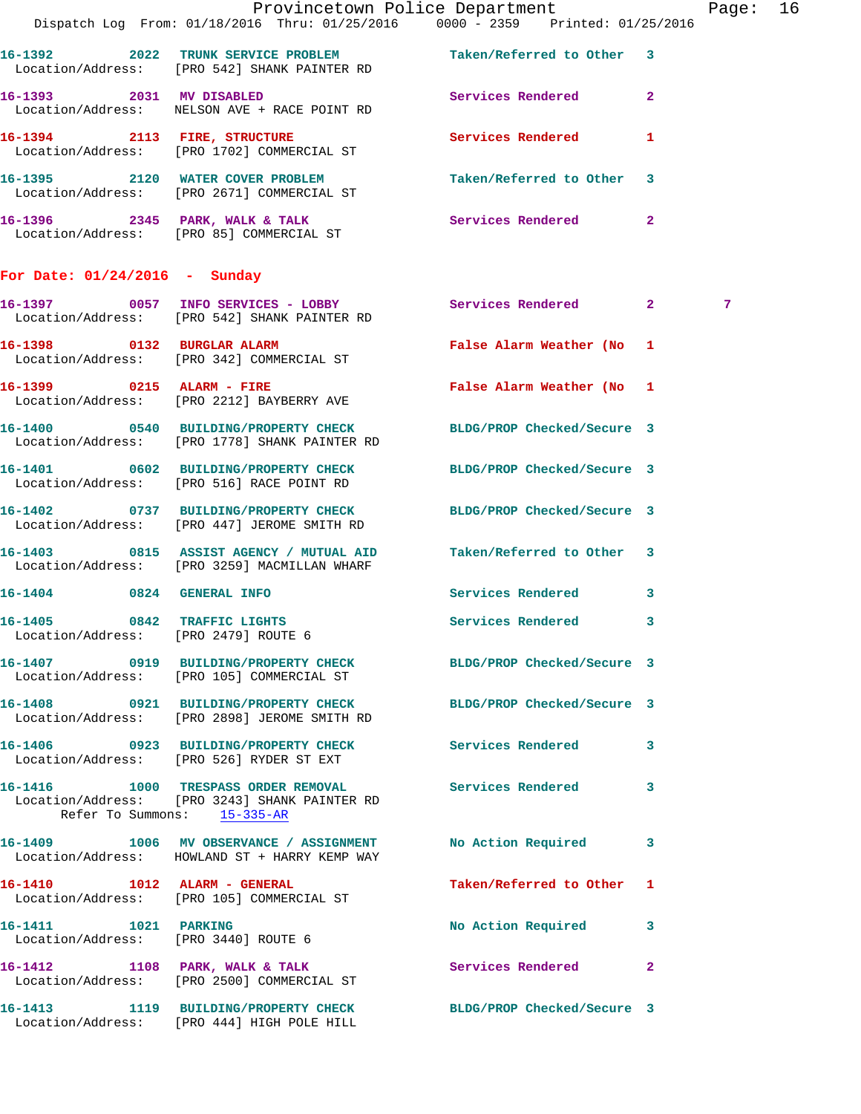|                                                     | Dispatch Log From: 01/18/2016 Thru: 01/25/2016 0000 - 2359 Printed: 01/25/2016                                      | Provincetown Police Department |              | Page: 16    |  |
|-----------------------------------------------------|---------------------------------------------------------------------------------------------------------------------|--------------------------------|--------------|-------------|--|
|                                                     | 16-1392 2022 TRUNK SERVICE PROBLEM Taken/Referred to Other 3<br>Location/Address: [PRO 542] SHANK PAINTER RD        |                                |              |             |  |
| 16-1393 2031 MV DISABLED                            | Location/Address: NELSON AVE + RACE POINT RD                                                                        | Services Rendered              | $\mathbf{2}$ |             |  |
|                                                     | 16-1394 2113 FIRE, STRUCTURE<br>Location/Address: [PRO 1702] COMMERCIAL ST                                          | Services Rendered              | 1            |             |  |
|                                                     | 16-1395 2120 WATER COVER PROBLEM<br>Location/Address: [PRO 2671] COMMERCIAL ST                                      | Taken/Referred to Other        | 3            |             |  |
|                                                     | 16-1396 2345 PARK, WALK & TALK<br>Location/Address: [PRO 85] COMMERCIAL ST                                          | Services Rendered              | 2            |             |  |
| For Date: $01/24/2016$ - Sunday                     |                                                                                                                     |                                |              |             |  |
|                                                     | 16-1397 0057 INFO SERVICES - LOBBY<br>Location/Address: [PRO 542] SHANK PAINTER RD                                  | Services Rendered              | $2^{\circ}$  | $7^{\circ}$ |  |
|                                                     | 16-1398 0132 BURGLAR ALARM<br>Location/Address: [PRO 342] COMMERCIAL ST                                             | False Alarm Weather (No 1      |              |             |  |
|                                                     | 16-1399 0215 ALARM - FIRE<br>Location/Address: [PRO 2212] BAYBERRY AVE                                              | False Alarm Weather (No 1      |              |             |  |
|                                                     | 16-1400 0540 BUILDING/PROPERTY CHECK<br>Location/Address: [PRO 1778] SHANK PAINTER RD                               | BLDG/PROP Checked/Secure 3     |              |             |  |
|                                                     | 16-1401 0602 BUILDING/PROPERTY CHECK BLDG/PROP Checked/Secure 3<br>Location/Address: [PRO 516] RACE POINT RD        |                                |              |             |  |
|                                                     | 16-1402 0737 BUILDING/PROPERTY CHECK<br>Location/Address: [PRO 447] JEROME SMITH RD                                 | BLDG/PROP Checked/Secure 3     |              |             |  |
| 16-1403                                             | 0815 ASSIST AGENCY / MUTUAL AID<br>Location/Address: [PRO 3259] MACMILLAN WHARF                                     | Taken/Referred to Other 3      |              |             |  |
| 16-1404 0824 GENERAL INFO                           |                                                                                                                     | Services Rendered              | 3            |             |  |
| $16 - 1405$<br>Location/Address: [PRO 2479] ROUTE 6 | 0842 TRAFFIC LIGHTS                                                                                                 | Services Rendered              | 3            |             |  |
|                                                     | 16-1407 0919 BUILDING/PROPERTY CHECK BLDG/PROP Checked/Secure 3<br>Location/Address: [PRO 105] COMMERCIAL ST        |                                |              |             |  |
|                                                     | 16-1408 0921 BUILDING/PROPERTY CHECK<br>Location/Address: [PRO 2898] JEROME SMITH RD                                | BLDG/PROP Checked/Secure 3     |              |             |  |
|                                                     | 16-1406 0923 BUILDING/PROPERTY CHECK<br>Location/Address: [PRO 526] RYDER ST EXT                                    | <b>Services Rendered</b>       | 3            |             |  |
|                                                     | 16-1416 1000 TRESPASS ORDER REMOVAL<br>Location/Address: [PRO 3243] SHANK PAINTER RD<br>Refer To Summons: 15-335-AR | <b>Services Rendered</b>       | 3            |             |  |
|                                                     | 16-1409 1006 MV OBSERVANCE / ASSIGNMENT<br>Location/Address: HOWLAND ST + HARRY KEMP WAY                            | No Action Required             | 3            |             |  |
|                                                     | 16-1410 1012 ALARM - GENERAL<br>Location/Address: [PRO 105] COMMERCIAL ST                                           | Taken/Referred to Other        | 1            |             |  |
| 16-1411 1021 PARKING                                | Location/Address: [PRO 3440] ROUTE 6                                                                                | No Action Required             | 3            |             |  |
|                                                     | 16-1412 1108 PARK, WALK & TALK<br>Location/Address: [PRO 2500] COMMERCIAL ST                                        | <b>Services Rendered</b>       | $\mathbf{2}$ |             |  |
|                                                     | 16-1413 1119 BUILDING/PROPERTY CHECK<br>Location/Address: [PRO 444] HIGH POLE HILL                                  | BLDG/PROP Checked/Secure 3     |              |             |  |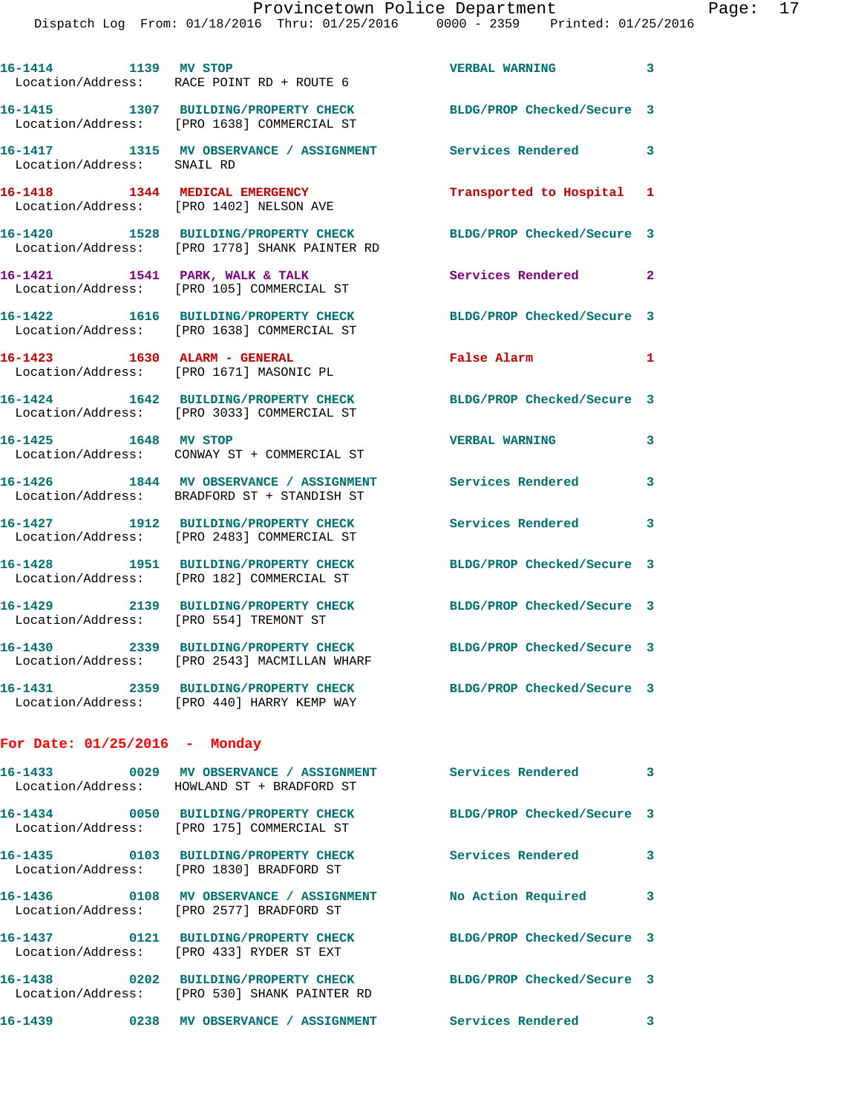| 16-1414 1139 MV STOP            | Location/Address: RACE POINT RD + ROUTE 6                                              | <b>VERBAL WARNING</b>      | $\overline{\mathbf{3}}$ |
|---------------------------------|----------------------------------------------------------------------------------------|----------------------------|-------------------------|
|                                 | 16-1415 1307 BUILDING/PROPERTY CHECK<br>Location/Address: [PRO 1638] COMMERCIAL ST     | BLDG/PROP Checked/Secure 3 |                         |
| Location/Address: SNAIL RD      | 16-1417 1315 MV OBSERVANCE / ASSIGNMENT                                                | <b>Services Rendered</b> 3 |                         |
| 16-1418                         | 1344 MEDICAL EMERGENCY<br>Location/Address: [PRO 1402] NELSON AVE                      | Transported to Hospital 1  |                         |
| 16-1420                         | 1528 BUILDING/PROPERTY CHECK<br>Location/Address: [PRO 1778] SHANK PAINTER RD          | BLDG/PROP Checked/Secure 3 |                         |
| 16-1421                         | 1541 PARK, WALK & TALK<br>Location/Address: [PRO 105] COMMERCIAL ST                    | Services Rendered 2        |                         |
| 16-1422                         | 1616 BUILDING/PROPERTY CHECK<br>Location/Address: [PRO 1638] COMMERCIAL ST             | BLDG/PROP Checked/Secure 3 |                         |
| 16-1423 1630 ALARM - GENERAL    | Location/Address: [PRO 1671] MASONIC PL                                                | False Alarm                | $\mathbf{1}$            |
|                                 | 16-1424 1642 BUILDING/PROPERTY CHECK<br>Location/Address: [PRO 3033] COMMERCIAL ST     | BLDG/PROP Checked/Secure 3 |                         |
| 16-1425 1648 MV STOP            | Location/Address: CONWAY ST + COMMERCIAL ST                                            | <b>VERBAL WARNING</b>      | 3                       |
|                                 | 16-1426 1844 MV OBSERVANCE / ASSIGNMENT<br>Location/Address: BRADFORD ST + STANDISH ST | <b>Services Rendered</b>   | $\overline{\mathbf{3}}$ |
|                                 | 16-1427 1912 BUILDING/PROPERTY CHECK<br>Location/Address: [PRO 2483] COMMERCIAL ST     | <b>Services Rendered</b>   | 3                       |
| 16-1428                         | 1951 BUILDING/PROPERTY CHECK<br>Location/Address: [PRO 182] COMMERCIAL ST              | BLDG/PROP Checked/Secure 3 |                         |
| 16-1429                         | 2139 BUILDING/PROPERTY CHECK<br>Location/Address: [PRO 554] TREMONT ST                 | BLDG/PROP Checked/Secure 3 |                         |
| 16-1430                         | 2339 BUILDING/PROPERTY CHECK<br>Location/Address: [PRO 2543] MACMILLAN WHARF           | BLDG/PROP Checked/Secure 3 |                         |
|                                 | 16-1431 2359 BUILDING/PROPERTY CHECK<br>Location/Address: [PRO 440] HARRY KEMP WAY     | BLDG/PROP Checked/Secure 3 |                         |
| For Date: $01/25/2016$ - Monday |                                                                                        |                            |                         |
| 16-1433                         | 0029 MV OBSERVANCE / ASSIGNMENT                                                        | Services Rendered          |                         |

| 10-17JJ<br>in the second contract of the second contract of the second second contract of the second second second second | nv verkvance / applemnent<br>Location/Address: HOWLAND ST + BRADFORD ST | Per Arces Vendered         | ۔ ت |
|---------------------------------------------------------------------------------------------------------------------------|-------------------------------------------------------------------------|----------------------------|-----|
| 0050<br>16-1434<br>Location/Address:                                                                                      | BUILDING/PROPERTY CHECK<br>[PRO 175] COMMERCIAL ST                      | BLDG/PROP Checked/Secure 3 |     |
| 16-1435 0103<br>Location/Address:                                                                                         | BUILDING/PROPERTY CHECK<br>[PRO 1830] BRADFORD ST                       | Services Rendered          | 3   |
| 16–1436<br>0108<br>Location/Address:                                                                                      | MV OBSERVANCE / ASSIGNMENT<br>[PRO 2577] BRADFORD ST                    | No Action Required         | 3   |
| 0121<br>16–1437<br>Location/Address:                                                                                      | BUILDING/PROPERTY CHECK<br>FRO 4331 RYDER ST EXT                        | BLDG/PROP Checked/Secure 3 |     |
| $\overline{0202}$<br>16–1438<br>Location/Address:                                                                         | <b>BUILDING/PROPERTY CHECK</b><br>[PRO 530] SHANK PAINTER RD            | BLDG/PROP Checked/Secure 3 |     |
| 16-1439<br>0238                                                                                                           | MV OBSERVANCE / ASSIGNMENT                                              | Services Rendered          | 3   |